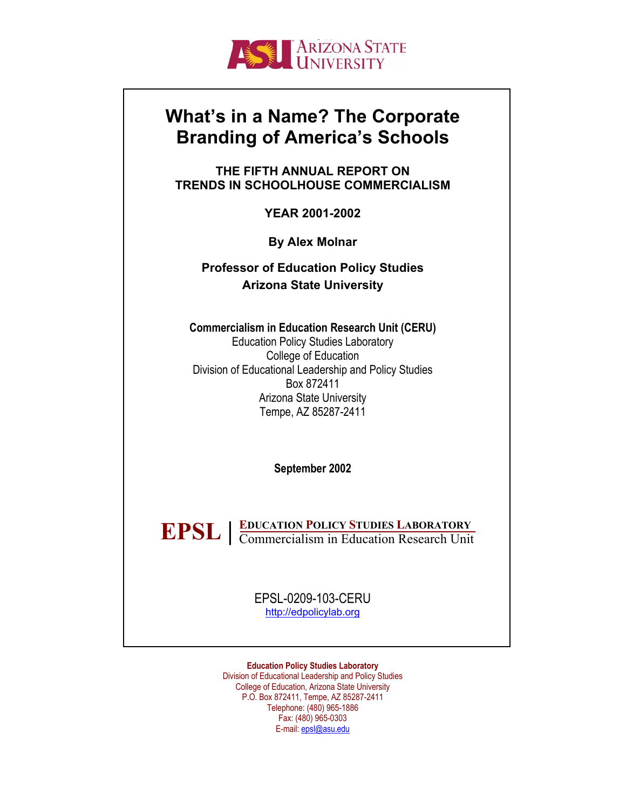

# **What's in a Name? The Corporate Branding of America's Schools**

**THE FIFTH ANNUAL REPORT ON TRENDS IN SCHOOLHOUSE COMMERCIALISM** 

**YEAR 2001-2002** 

**By Alex Molnar** 

**Professor of Education Policy Studies Arizona State University**

**Commercialism in Education Research Unit (CERU)**  Education Policy Studies Laboratory College of Education Division of Educational Leadership and Policy Studies Box 872411 Arizona State University Tempe, AZ 85287-2411

**September 2002**

**EDUCATION POLICY STUDIES LABORATORY EPSL |** EDUCATION POLICY STUDIES LABORATORY<br>
Commercialism in Education Research Unit

> EPSL-0209-103-CERU [http://edpolicylab.org](http://edpolicylab.org/)

**Education Policy Studies Laboratory**  Division of Educational Leadership and Policy Studies College of Education, Arizona State University P.O. Box 872411, Tempe, AZ 85287-2411 Telephone: (480) 965-1886 Fax: (480) 965-0303 E-mail: [epsl@asu.edu](mailto:epsl@asu.edu)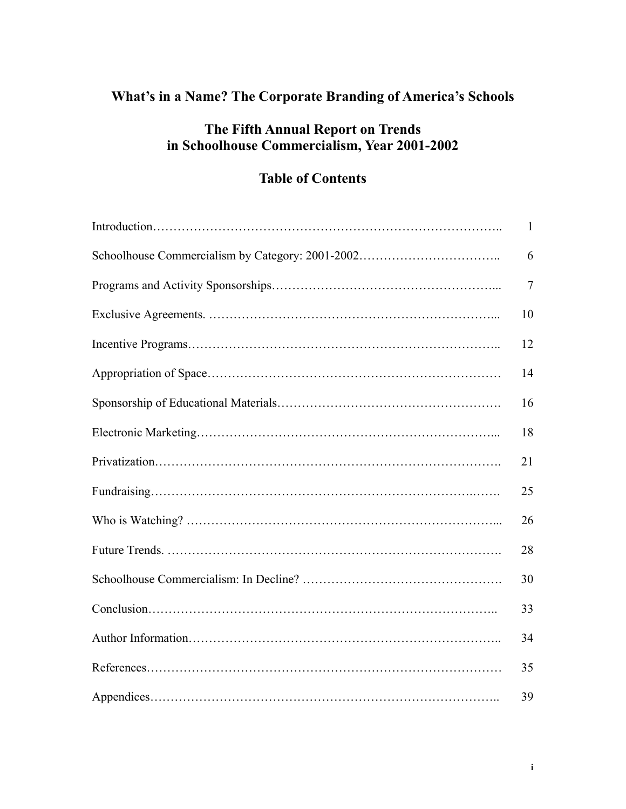## **What's in a Name? The Corporate Branding of America's Schools**

## **The Fifth Annual Report on Trends in Schoolhouse Commercialism, Year 2001-2002**

## **Table of Contents**

| $\mathbf{1}$   |
|----------------|
| 6              |
| $\overline{7}$ |
| 10             |
| 12             |
| 14             |
| 16             |
| 18             |
| 21             |
| 25             |
| 26             |
| 28             |
| 30             |
| 33             |
| 34             |
| 35             |
| 39             |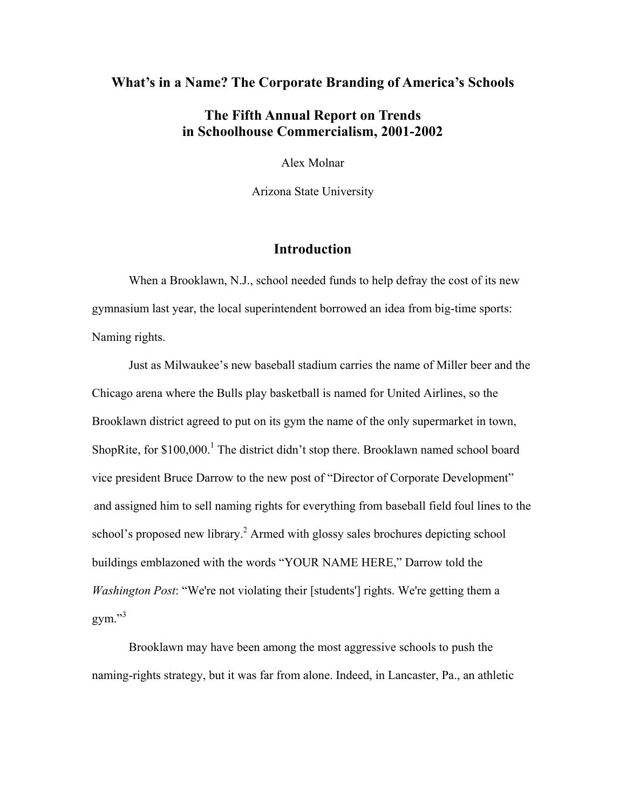## **What's in a Name? The Corporate Branding of America's Schools**

## **The Fifth Annual Report on Trends in Schoolhouse Commercialism, 2001-2002**

Alex Molnar

Arizona State University

## **Introduction**

 When a Brooklawn, N.J., school needed funds to help defray the cost of its new gymnasium last year, the local superintendent borrowed an idea from big-time sports: Naming rights.

 Just as Milwaukee's new baseball stadium carries the name of Miller beer and the Chicago arena where the Bulls play basketball is named for United Airlines, so the Brooklawn district agreed to put on its gym the name of the only supermarket in town, ShopRite, for \$[1](#page-39-0)00,000.<sup>1</sup> The district didn't stop there. Brooklawn named school board vice president Bruce Darrow to the new post of "Director of Corporate Development" and assigned him to sell naming rights for everything from baseball field foul lines to the school's proposed new library.<sup>2</sup> Armed with glossy sales brochures depicting school buildings emblazoned with the words "YOUR NAME HERE," Darrow told the *Washington Post*: "We're not violating their [students'] rights. We're getting them a  $gym.$ <sup>[3](#page-39-2)3</sup>

 Brooklawn may have been among the most aggressive schools to push the naming-rights strategy, but it was far from alone. Indeed, in Lancaster, Pa., an athletic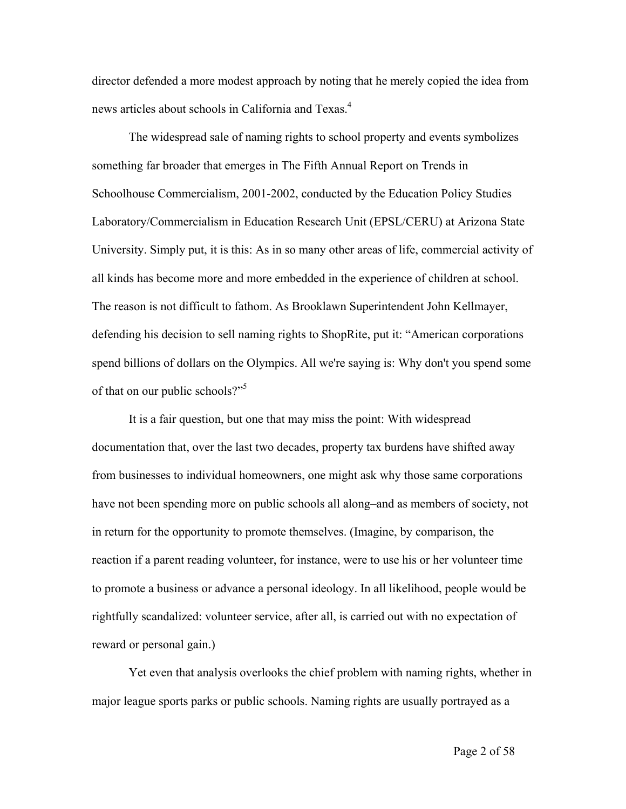director defended a more modest approach by noting that he merely copied the idea from news articles about schools in California and Texas.<sup>4</sup>

The widespread sale of naming rights to school property and events symbolizes something far broader that emerges in The Fifth Annual Report on Trends in Schoolhouse Commercialism, 2001-2002, conducted by the Education Policy Studies Laboratory/Commercialism in Education Research Unit (EPSL/CERU) at Arizona State University. Simply put, it is this: As in so many other areas of life, commercial activity of all kinds has become more and more embedded in the experience of children at school. The reason is not difficult to fathom. As Brooklawn Superintendent John Kellmayer, defending his decision to sell naming rights to ShopRite, put it: "American corporations spend billions of dollars on the Olympics. All we're saying is: Why don't you spend some of that on our public schools?"<sup>5</sup>

It is a fair question, but one that may miss the point: With widespread documentation that, over the last two decades, property tax burdens have shifted away from businesses to individual homeowners, one might ask why those same corporations have not been spending more on public schools all along–and as members of society, not in return for the opportunity to promote themselves. (Imagine, by comparison, the reaction if a parent reading volunteer, for instance, were to use his or her volunteer time to promote a business or advance a personal ideology. In all likelihood, people would be rightfully scandalized: volunteer service, after all, is carried out with no expectation of reward or personal gain.)

Yet even that analysis overlooks the chief problem with naming rights, whether in major league sports parks or public schools. Naming rights are usually portrayed as a

Page 2 of 58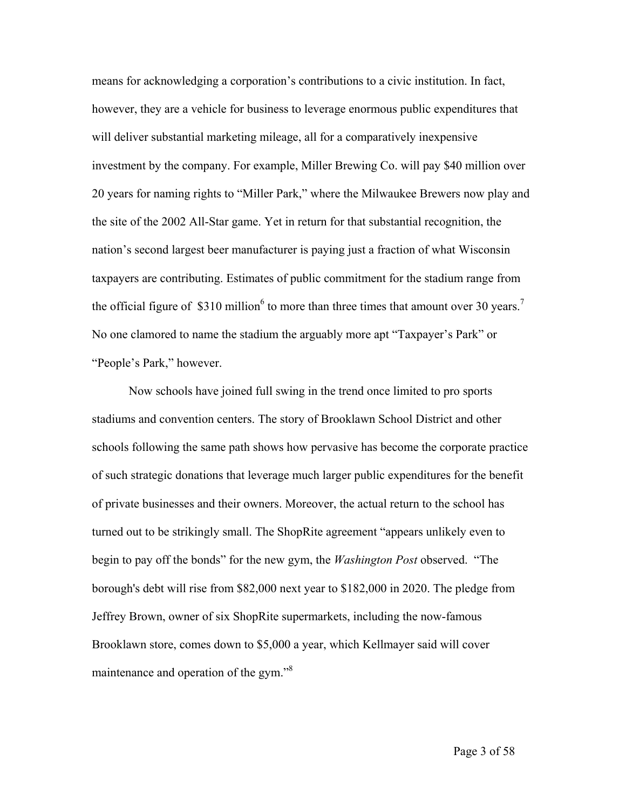means for acknowledging a corporation's contributions to a civic institution. In fact, however, they are a vehicle for business to leverage enormous public expenditures that will deliver substantial marketing mileage, all for a comparatively inexpensive investment by the company. For example, Miller Brewing Co. will pay \$40 million over 20 years for naming rights to "Miller Park," where the Milwaukee Brewers now play and the site of the 2002 All-Star game. Yet in return for that substantial recognition, the nation's second largest beer manufacturer is paying just a fraction of what Wisconsin taxpayers are contributing. Estimates of public commitment for the stadium range from the official figure of \$310 million<sup>[6](#page-39-5)</sup> to more than three times that amount over 30 years.<sup>[7](#page-39-6)</sup> No one clamored to name the stadium the arguably more apt "Taxpayer's Park" or "People's Park," however.

Now schools have joined full swing in the trend once limited to pro sports stadiums and convention centers. The story of Brooklawn School District and other schools following the same path shows how pervasive has become the corporate practice of such strategic donations that leverage much larger public expenditures for the benefit of private businesses and their owners. Moreover, the actual return to the school has turned out to be strikingly small. The ShopRite agreement "appears unlikely even to begin to pay off the bonds" for the new gym, the *Washington Post* observed. "The borough's debt will rise from \$82,000 next year to \$182,000 in 2020. The pledge from Jeffrey Brown, owner of six ShopRite supermarkets, including the now-famous Brooklawn store, comes down to \$5,000 a year, which Kellmayer said will cover maintenance and operation of the gym."<sup>[8](#page-39-7)</sup>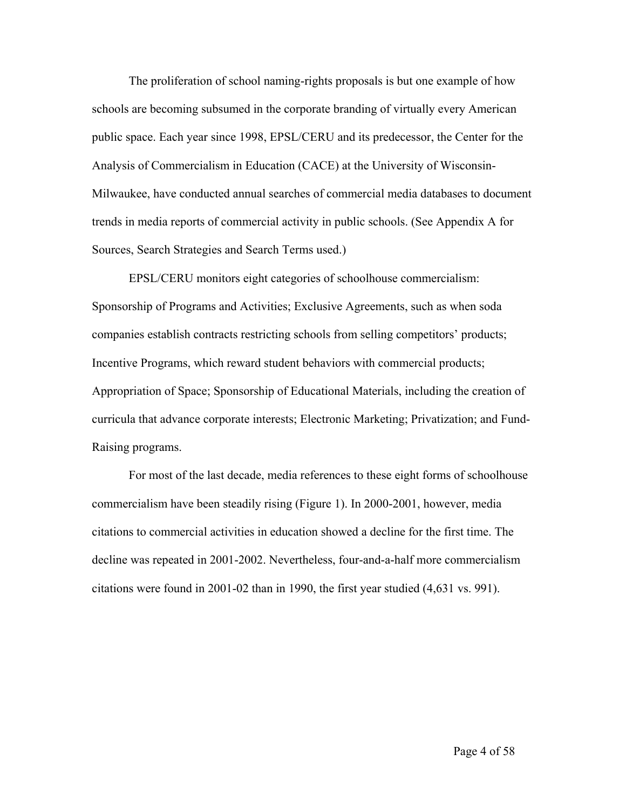The proliferation of school naming-rights proposals is but one example of how schools are becoming subsumed in the corporate branding of virtually every American public space. Each year since 1998, EPSL/CERU and its predecessor, the Center for the Analysis of Commercialism in Education (CACE) at the University of Wisconsin-Milwaukee, have conducted annual searches of commercial media databases to document trends in media reports of commercial activity in public schools. (See Appendix A for Sources, Search Strategies and Search Terms used.)

EPSL/CERU monitors eight categories of schoolhouse commercialism: Sponsorship of Programs and Activities; Exclusive Agreements, such as when soda companies establish contracts restricting schools from selling competitors' products; Incentive Programs, which reward student behaviors with commercial products; Appropriation of Space; Sponsorship of Educational Materials, including the creation of curricula that advance corporate interests; Electronic Marketing; Privatization; and Fund-Raising programs.

For most of the last decade, media references to these eight forms of schoolhouse commercialism have been steadily rising (Figure 1). In 2000-2001, however, media citations to commercial activities in education showed a decline for the first time. The decline was repeated in 2001-2002. Nevertheless, four-and-a-half more commercialism citations were found in 2001-02 than in 1990, the first year studied (4,631 vs. 991).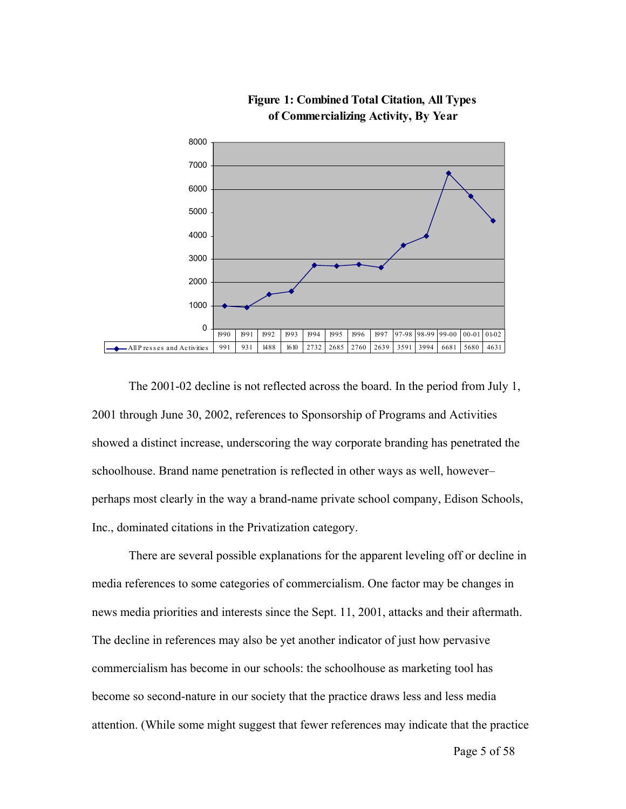

**Figure 1: Combined Total Citation, All Types of Commercializing Activity, By Year**

The 2001-02 decline is not reflected across the board. In the period from July 1, 2001 through June 30, 2002, references to Sponsorship of Programs and Activities showed a distinct increase, underscoring the way corporate branding has penetrated the schoolhouse. Brand name penetration is reflected in other ways as well, however– perhaps most clearly in the way a brand-name private school company, Edison Schools, Inc., dominated citations in the Privatization category.

There are several possible explanations for the apparent leveling off or decline in media references to some categories of commercialism. One factor may be changes in news media priorities and interests since the Sept. 11, 2001, attacks and their aftermath. The decline in references may also be yet another indicator of just how pervasive commercialism has become in our schools: the schoolhouse as marketing tool has become so second-nature in our society that the practice draws less and less media attention. (While some might suggest that fewer references may indicate that the practice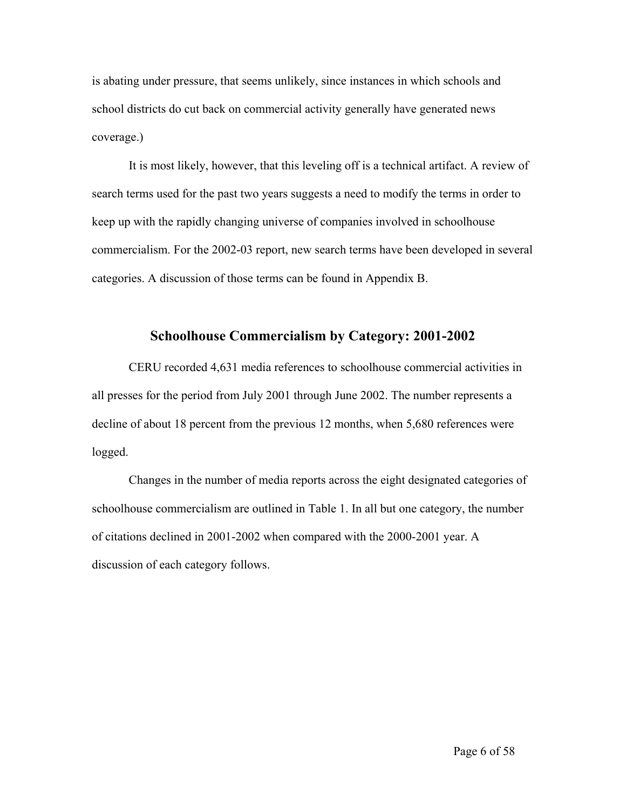is abating under pressure, that seems unlikely, since instances in which schools and school districts do cut back on commercial activity generally have generated news coverage.)

It is most likely, however, that this leveling off is a technical artifact. A review of search terms used for the past two years suggests a need to modify the terms in order to keep up with the rapidly changing universe of companies involved in schoolhouse commercialism. For the 2002-03 report, new search terms have been developed in several categories. A discussion of those terms can be found in Appendix B.

## **Schoolhouse Commercialism by Category: 2001-2002**

CERU recorded 4,631 media references to schoolhouse commercial activities in all presses for the period from July 2001 through June 2002. The number represents a decline of about 18 percent from the previous 12 months, when 5,680 references were logged.

Changes in the number of media reports across the eight designated categories of schoolhouse commercialism are outlined in Table 1. In all but one category, the number of citations declined in 2001-2002 when compared with the 2000-2001 year. A discussion of each category follows.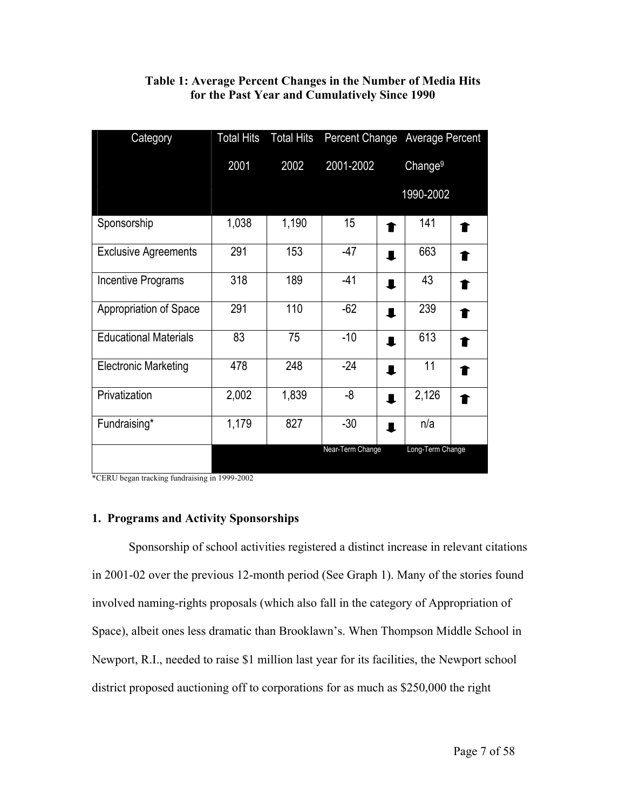| Category                     | <b>Total Hits</b> | <b>Total Hits</b> |                  |                | Percent Change Average Percent |  |
|------------------------------|-------------------|-------------------|------------------|----------------|--------------------------------|--|
|                              | 2001              | 2002              | 2001-2002        |                | Change <sup>9</sup>            |  |
|                              |                   |                   |                  |                | 1990-2002                      |  |
| Sponsorship                  | 1,038             | 1,190             | 15 <sub>15</sub> | ↑              | 141                            |  |
| <b>Exclusive Agreements</b>  | 291               | 153               | $-47$            | ┸              | 663                            |  |
| Incentive Programs           | 318               | 189               | $-41$            | $\blacksquare$ | 43                             |  |
| Appropriation of Space       | 291               | 110               | $-62$            | $\blacksquare$ | 239                            |  |
| <b>Educational Materials</b> | 83                | 75                | $-10$            | п              | 613                            |  |
| <b>Electronic Marketing</b>  | 478               | 248               | $-24$            | ┸              | 11                             |  |
| Privatization                | 2,002             | 1,839             | -8               | $\blacksquare$ | 2,126                          |  |
| Fundraising*                 | 1,179             | 827               | $-30$            | $\blacksquare$ | n/a                            |  |
|                              |                   |                   | Near-Term Change |                | Long-Term Change               |  |

## **Table 1: Average Percent Changes in the Number of Media Hits for the Past Year and Cumulatively Since 1990**

\*CERU began tracking fundraising in 1999-2002

## **1. Programs and Activity Sponsorships**

Sponsorship of school activities registered a distinct increase in relevant citations in 2001-02 over the previous 12-month period (See Graph 1). Many of the stories found involved naming-rights proposals (which also fall in the category of Appropriation of Space), albeit ones less dramatic than Brooklawn's. When Thompson Middle School in Newport, R.I., needed to raise \$1 million last year for its facilities, the Newport school district proposed auctioning off to corporations for as much as \$250,000 the right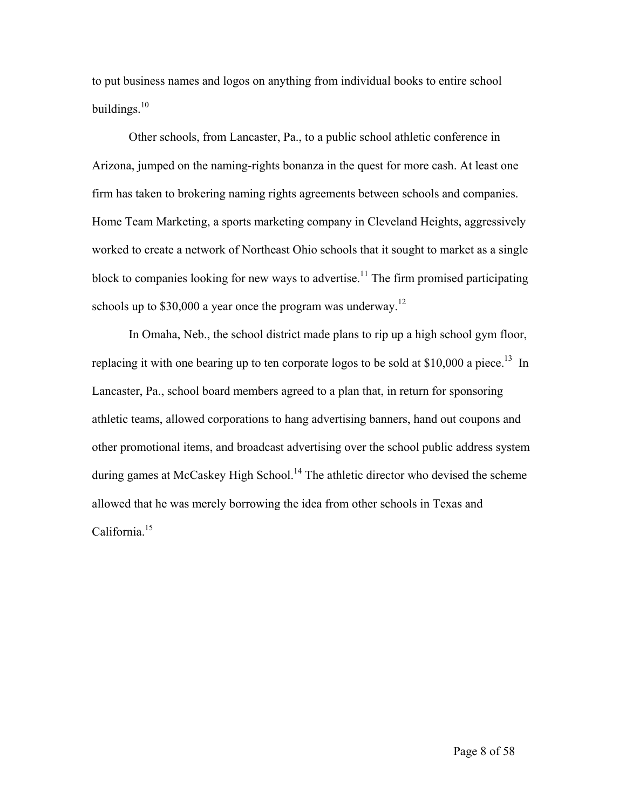to put business names and logos on anything from individual books to entire school buildings. $10$ 

Other schools, from Lancaster, Pa., to a public school athletic conference in Arizona, jumped on the naming-rights bonanza in the quest for more cash. At least one firm has taken to brokering naming rights agreements between schools and companies. Home Team Marketing, a sports marketing company in Cleveland Heights, aggressively worked to create a network of Northeast Ohio schools that it sought to market as a single block to companies looking for new ways to advertise.<sup>11</sup> The firm promised participating schools up to  $$30,000$  a year once the program was underway.<sup>12</sup>

In Omaha, Neb., the school district made plans to rip up a high school gym floor, replacing it with one bearing up to ten corporate logos to be sold at  $$10,000$  a piece.<sup>13</sup> In Lancaster, Pa., school board members agreed to a plan that, in return for sponsoring athletic teams, allowed corporations to hang advertising banners, hand out coupons and other promotional items, and broadcast advertising over the school public address system during games at McCaskey High School.<sup>14</sup> The athletic director who devised the scheme allowed that he was merely borrowing the idea from other schools in Texas and California.[15](#page-39-14)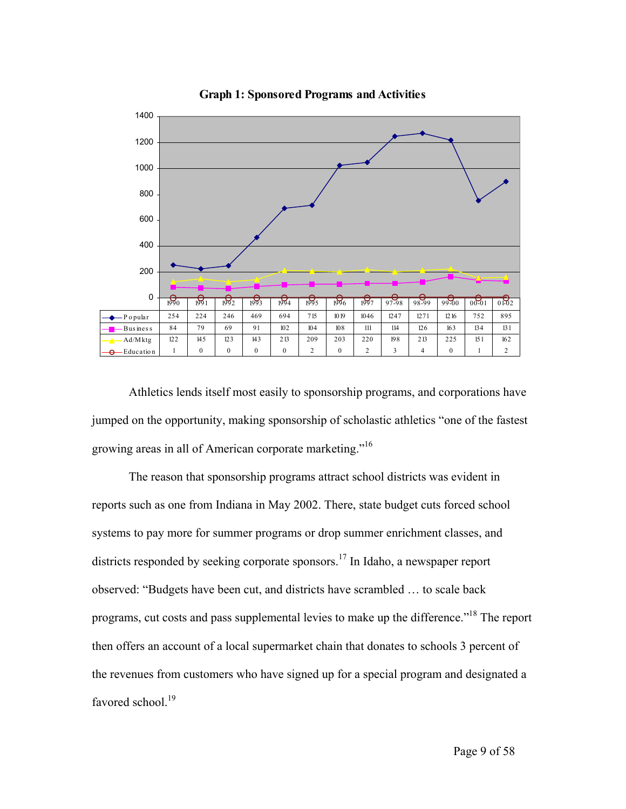

**Graph 1: Sponsored Programs and Activities**

Athletics lends itself most easily to sponsorship programs, and corporations have jumped on the opportunity, making sponsorship of scholastic athletics "one of the fastest growing areas in all of American corporate marketing."[16](#page-39-15)

The reason that sponsorship programs attract school districts was evident in reports such as one from Indiana in May 2002. There, state budget cuts forced school systems to pay more for summer programs or drop summer enrichment classes, and districts responded by seeking corporate sponsors.<sup>17</sup> In Idaho, a newspaper report observed: "Budgets have been cut, and districts have scrambled … to scale back programs, cut costs and pass supplemental levies to make up the difference."<sup>18</sup> The report then offers an account of a local supermarket chain that donates to schools 3 percent of the revenues from customers who have signed up for a special program and designated a favored school.<sup>[19](#page-39-18)</sup>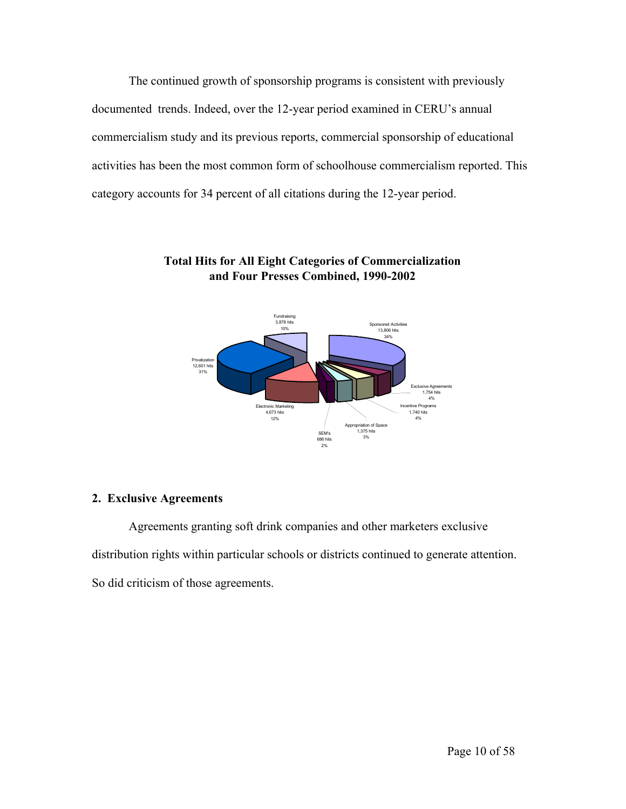The continued growth of sponsorship programs is consistent with previously documented trends. Indeed, over the 12-year period examined in CERU's annual commercialism study and its previous reports, commercial sponsorship of educational activities has been the most common form of schoolhouse commercialism reported. This category accounts for 34 percent of all citations during the 12-year period.



## **Total Hits for All Eight Categories of Commercialization and Four Presses Combined, 1990-2002**

## **2. Exclusive Agreements**

Agreements granting soft drink companies and other marketers exclusive distribution rights within particular schools or districts continued to generate attention. So did criticism of those agreements.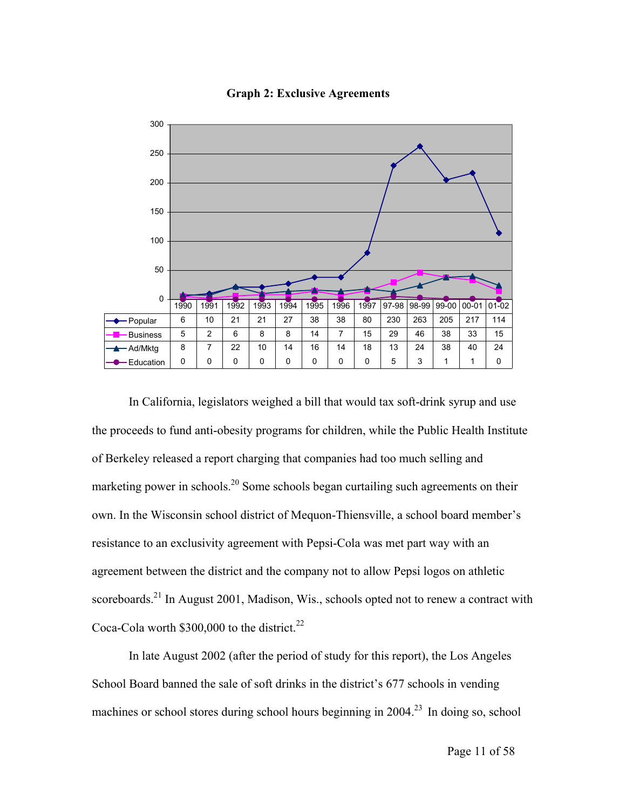

#### **Graph 2: Exclusive Agreements**

In California, legislators weighed a bill that would tax soft-drink syrup and use the proceeds to fund anti-obesity programs for children, while the Public Health Institute of Berkeley released a report charging that companies had too much selling and marketing power in schools.<sup>20</sup> Some schools began curtailing such agreements on their own. In the Wisconsin school district of Mequon-Thiensville, a school board member's resistance to an exclusivity agreement with Pepsi-Cola was met part way with an agreement between the district and the company not to allow Pepsi logos on athletic scoreboards.<sup>21</sup> In August 2001, Madison, Wis., schools opted not to renew a contract with Coca-Cola worth  $$300,000$  to the district.<sup>[22](#page-39-21)</sup>

In late August 2002 (after the period of study for this report), the Los Angeles School Board banned the sale of soft drinks in the district's 677 schools in vending machines or school stores during school hours beginning in  $2004<sup>23</sup>$  $2004<sup>23</sup>$  $2004<sup>23</sup>$  In doing so, school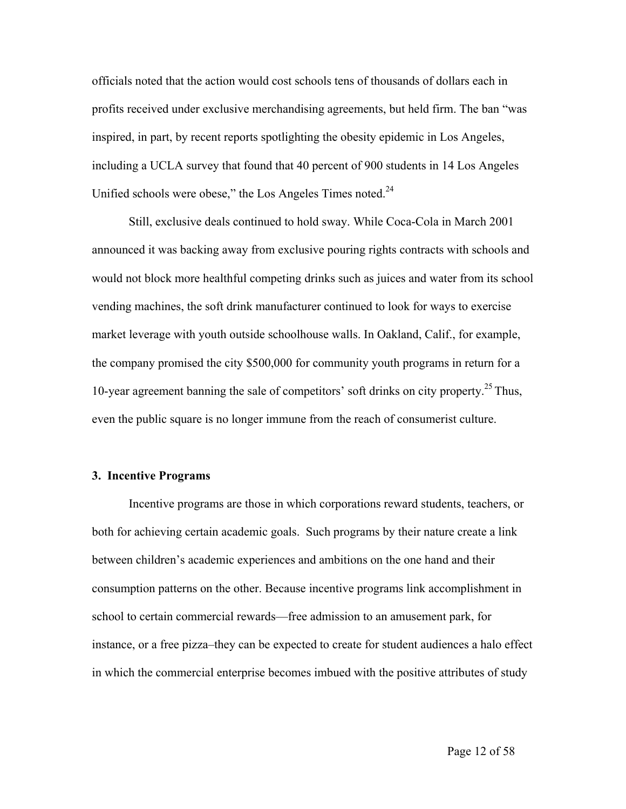officials noted that the action would cost schools tens of thousands of dollars each in profits received under exclusive merchandising agreements, but held firm. The ban "was inspired, in part, by recent reports spotlighting the obesity epidemic in Los Angeles, including a UCLA survey that found that 40 percent of 900 students in 14 Los Angeles Unified schools were obese," the Los Angeles Times noted. $^{24}$ 

Still, exclusive deals continued to hold sway. While Coca-Cola in March 2001 announced it was backing away from exclusive pouring rights contracts with schools and would not block more healthful competing drinks such as juices and water from its school vending machines, the soft drink manufacturer continued to look for ways to exercise market leverage with youth outside schoolhouse walls. In Oakland, Calif., for example, the company promised the city \$500,000 for community youth programs in return for a 10-year agreement banning the sale of competitors' soft drinks on city property.<sup>25</sup> Thus, even the public square is no longer immune from the reach of consumerist culture.

#### **3. Incentive Programs**

Incentive programs are those in which corporations reward students, teachers, or both for achieving certain academic goals. Such programs by their nature create a link between children's academic experiences and ambitions on the one hand and their consumption patterns on the other. Because incentive programs link accomplishment in school to certain commercial rewards—free admission to an amusement park, for instance, or a free pizza–they can be expected to create for student audiences a halo effect in which the commercial enterprise becomes imbued with the positive attributes of study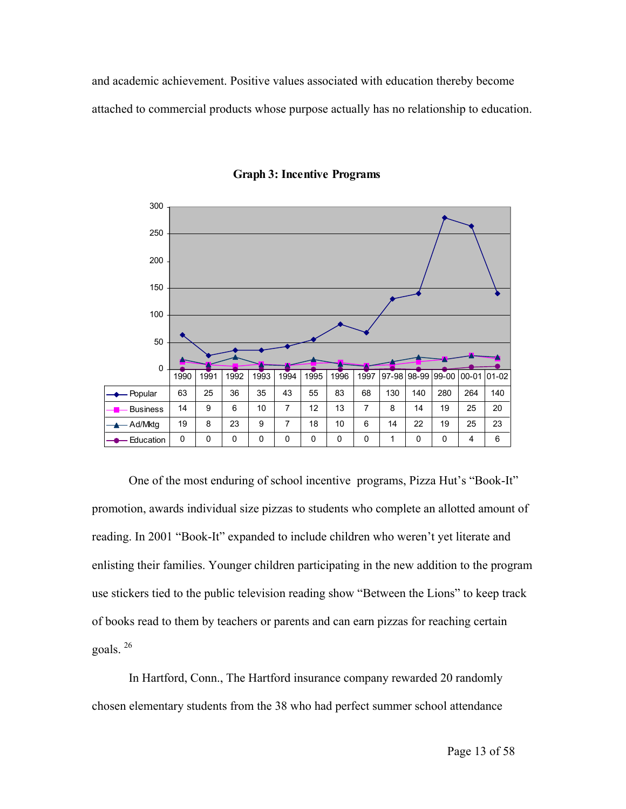and academic achievement. Positive values associated with education thereby become attached to commercial products whose purpose actually has no relationship to education.



**Graph 3: Incentive Programs**

One of the most enduring of school incentive programs, Pizza Hut's "Book-It" promotion, awards individual size pizzas to students who complete an allotted amount of reading. In 2001 "Book-It" expanded to include children who weren't yet literate and enlisting their families. Younger children participating in the new addition to the program use stickers tied to the public television reading show "Between the Lions" to keep track of books read to them by teachers or parents and can earn pizzas for reaching certain goals. [26](#page-39-25)

In Hartford, Conn., The Hartford insurance company rewarded 20 randomly chosen elementary students from the 38 who had perfect summer school attendance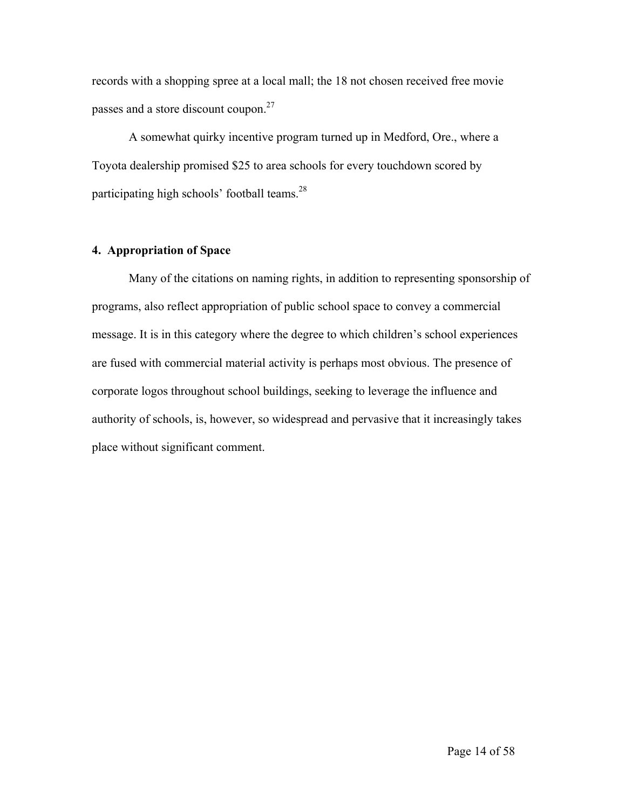records with a shopping spree at a local mall; the 18 not chosen received free movie passes and a store discount coupon.<sup>27</sup>

A somewhat quirky incentive program turned up in Medford, Ore., where a Toyota dealership promised \$25 to area schools for every touchdown scored by participating high schools' football teams. $28$ 

## **4. Appropriation of Space**

Many of the citations on naming rights, in addition to representing sponsorship of programs, also reflect appropriation of public school space to convey a commercial message. It is in this category where the degree to which children's school experiences are fused with commercial material activity is perhaps most obvious. The presence of corporate logos throughout school buildings, seeking to leverage the influence and authority of schools, is, however, so widespread and pervasive that it increasingly takes place without significant comment.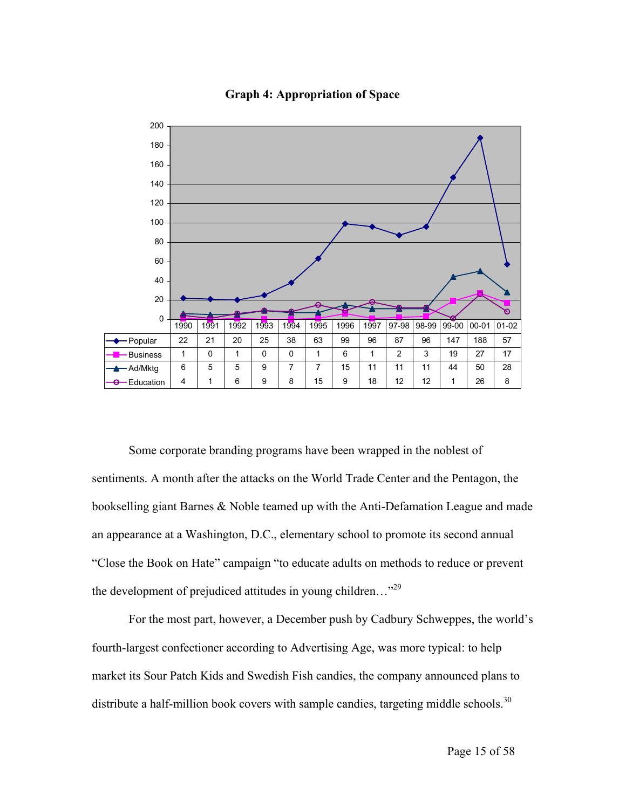

**Graph 4: Appropriation of Space**

Some corporate branding programs have been wrapped in the noblest of sentiments. A month after the attacks on the World Trade Center and the Pentagon, the bookselling giant Barnes & Noble teamed up with the Anti-Defamation League and made an appearance at a Washington, D.C., elementary school to promote its second annual "Close the Book on Hate" campaign "to educate adults on methods to reduce or prevent the development of prejudiced attitudes in young children..."<sup>[29](#page-39-28)</sup>

For the most part, however, a December push by Cadbury Schweppes, the world's fourth-largest confectioner according to Advertising Age, was more typical: to help market its Sour Patch Kids and Swedish Fish candies, the company announced plans to distribute a half-million book covers with sample candies, targeting middle schools.<sup>[30](#page-39-29)</sup>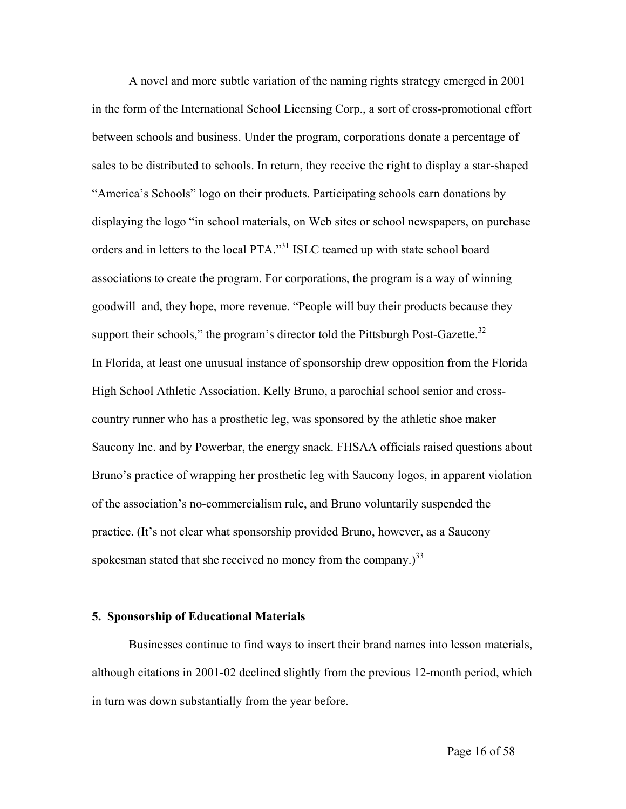A novel and more subtle variation of the naming rights strategy emerged in 2001 in the form of the International School Licensing Corp., a sort of cross-promotional effort between schools and business. Under the program, corporations donate a percentage of sales to be distributed to schools. In return, they receive the right to display a star-shaped "America's Schools" logo on their products. Participating schools earn donations by displaying the logo "in school materials, on Web sites or school newspapers, on purchase orders and in letters to the local PTA."<sup>31</sup> ISLC teamed up with state school board associations to create the program. For corporations, the program is a way of winning goodwill–and, they hope, more revenue. "People will buy their products because they support their schools," the program's director told the Pittsburgh Post-Gazette. $32$ In Florida, at least one unusual instance of sponsorship drew opposition from the Florida High School Athletic Association. Kelly Bruno, a parochial school senior and crosscountry runner who has a prosthetic leg, was sponsored by the athletic shoe maker Saucony Inc. and by Powerbar, the energy snack. FHSAA officials raised questions about Bruno's practice of wrapping her prosthetic leg with Saucony logos, in apparent violation of the association's no-commercialism rule, and Bruno voluntarily suspended the practice. (It's not clear what sponsorship provided Bruno, however, as a Saucony spokesman stated that she received no money from the company.)<sup>33</sup>

#### **5. Sponsorship of Educational Materials**

Businesses continue to find ways to insert their brand names into lesson materials, although citations in 2001-02 declined slightly from the previous 12-month period, which in turn was down substantially from the year before.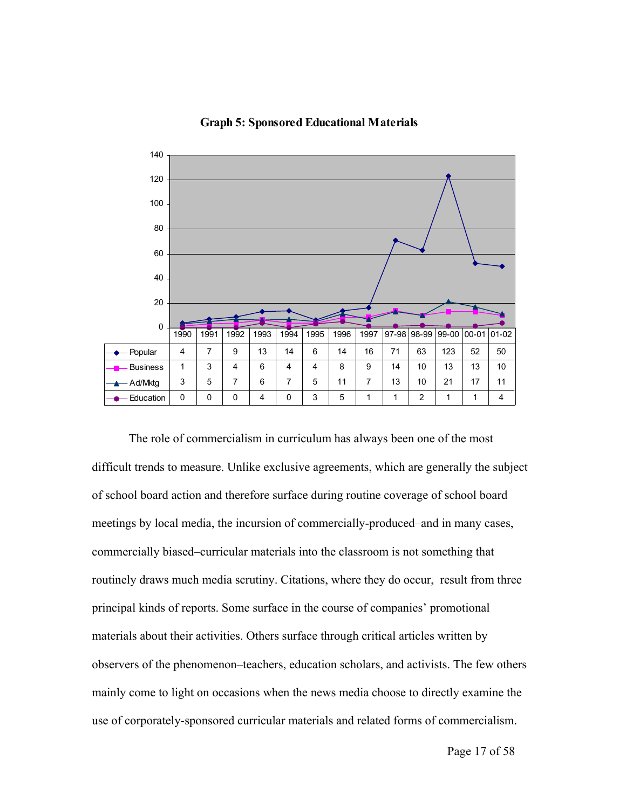

**Graph 5: Sponsored Educational Materials**

The role of commercialism in curriculum has always been one of the most difficult trends to measure. Unlike exclusive agreements, which are generally the subject of school board action and therefore surface during routine coverage of school board meetings by local media, the incursion of commercially-produced–and in many cases, commercially biased–curricular materials into the classroom is not something that routinely draws much media scrutiny. Citations, where they do occur, result from three principal kinds of reports. Some surface in the course of companies' promotional materials about their activities. Others surface through critical articles written by observers of the phenomenon–teachers, education scholars, and activists. The few others mainly come to light on occasions when the news media choose to directly examine the use of corporately-sponsored curricular materials and related forms of commercialism.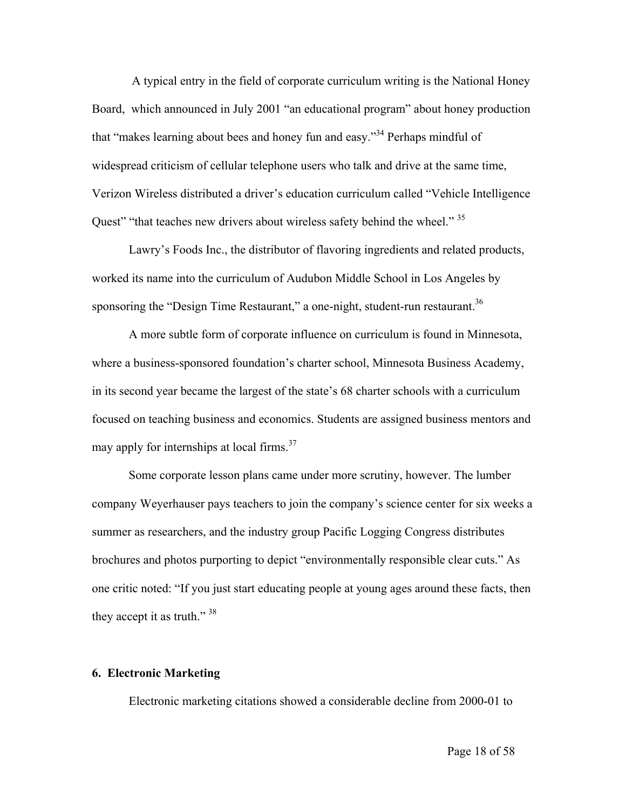A typical entry in the field of corporate curriculum writing is the National Honey Board, which announced in July 2001 "an educational program" about honey production that "makes learning about bees and honey fun and easy.["34 P](#page-39-33)erhaps mindful of widespread criticism of cellular telephone users who talk and drive at the same time, Verizon Wireless distributed a driver's education curriculum called "Vehicle Intelligence Quest" "that teaches new drivers about wireless safety behind the wheel."<sup>35</sup>

Lawry's Foods Inc., the distributor of flavoring ingredients and related products, worked its name into the curriculum of Audubon Middle School in Los Angeles by sponsoring the "Design Time Restaurant," a one-night, student-run restaurant.<sup>[36](#page-39-35)</sup>

A more subtle form of corporate influence on curriculum is found in Minnesota, where a business-sponsored foundation's charter school, Minnesota Business Academy, in its second year became the largest of the state's 68 charter schools with a curriculum focused on teaching business and economics. Students are assigned business mentors and may apply for internships at local firms. $37$ 

Some corporate lesson plans came under more scrutiny, however. The lumber company Weyerhauser pays teachers to join the company's science center for six weeks a summer as researchers, and the industry group Pacific Logging Congress distributes brochures and photos purporting to depict "environmentally responsible clear cuts." As one critic noted: "If you just start educating people at young ages around these facts, then they accept it as truth."  $38$ 

#### **6. Electronic Marketing**

Electronic marketing citations showed a considerable decline from 2000-01 to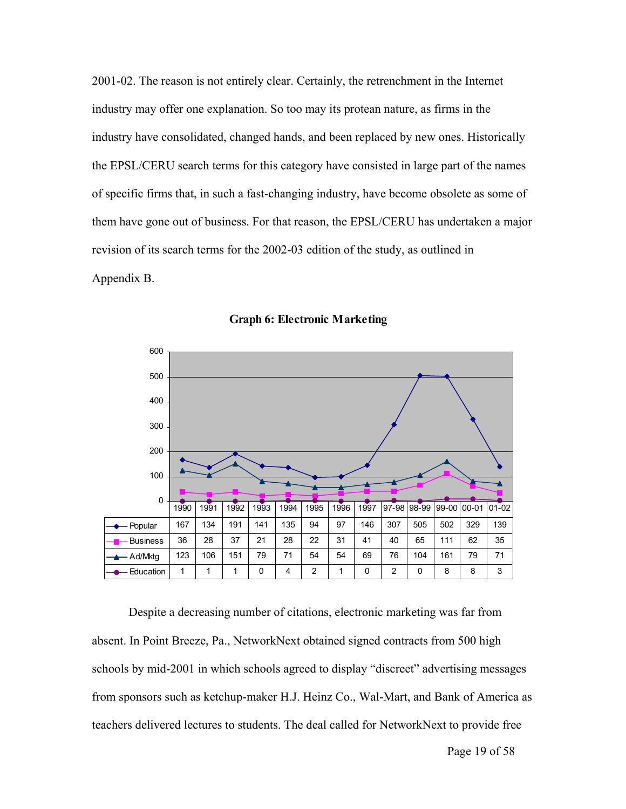2001-02. The reason is not entirely clear. Certainly, the retrenchment in the Internet industry may offer one explanation. So too may its protean nature, as firms in the industry have consolidated, changed hands, and been replaced by new ones. Historically the EPSL/CERU search terms for this category have consisted in large part of the names of specific firms that, in such a fast-changing industry, have become obsolete as some of them have gone out of business. For that reason, the EPSL/CERU has undertaken a major revision of its search terms for the 2002-03 edition of the study, as outlined in Appendix B.





Despite a decreasing number of citations, electronic marketing was far from absent. In Point Breeze, Pa., NetworkNext obtained signed contracts from 500 high schools by mid-2001 in which schools agreed to display "discreet" advertising messages from sponsors such as ketchup-maker H.J. Heinz Co., Wal-Mart, and Bank of America as teachers delivered lectures to students. The deal called for NetworkNext to provide free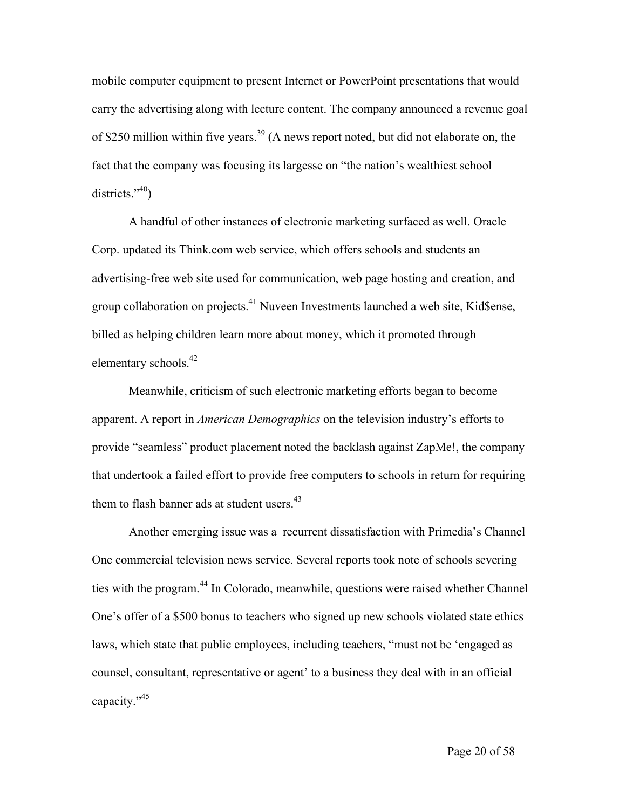mobile computer equipment to present Internet or PowerPoint presentations that would carry the advertising along with lecture content. The company announced a revenue goal of \$250 million within five years.<sup>39</sup> (A news report noted, but did not elaborate on, the fact that the company was focusing its largesse on "the nation's wealthiest school districts." $40$ )

A handful of other instances of electronic marketing surfaced as well. Oracle Corp. updated its Think.com web service, which offers schools and students an advertising-free web site used for communication, web page hosting and creation, and group collaboration on projects.<sup>41</sup> Nuveen Investments launched a web site, Kid\$ense, billed as helping children learn more about money, which it promoted through elementary schools.<sup>42</sup>

Meanwhile, criticism of such electronic marketing efforts began to become apparent. A report in *American Demographics* on the television industry's efforts to provide "seamless" product placement noted the backlash against ZapMe!, the company that undertook a failed effort to provide free computers to schools in return for requiring them to flash banner ads at student users.<sup>43</sup>

Another emerging issue was a recurrent dissatisfaction with Primedia's Channel One commercial television news service. Several reports took note of schools severing ties with the program.<sup>44</sup> In Colorado, meanwhile, questions were raised whether Channel One's offer of a \$500 bonus to teachers who signed up new schools violated state ethics laws, which state that public employees, including teachers, "must not be 'engaged as counsel, consultant, representative or agent' to a business they deal with in an official capacity.["45](#page-39-44)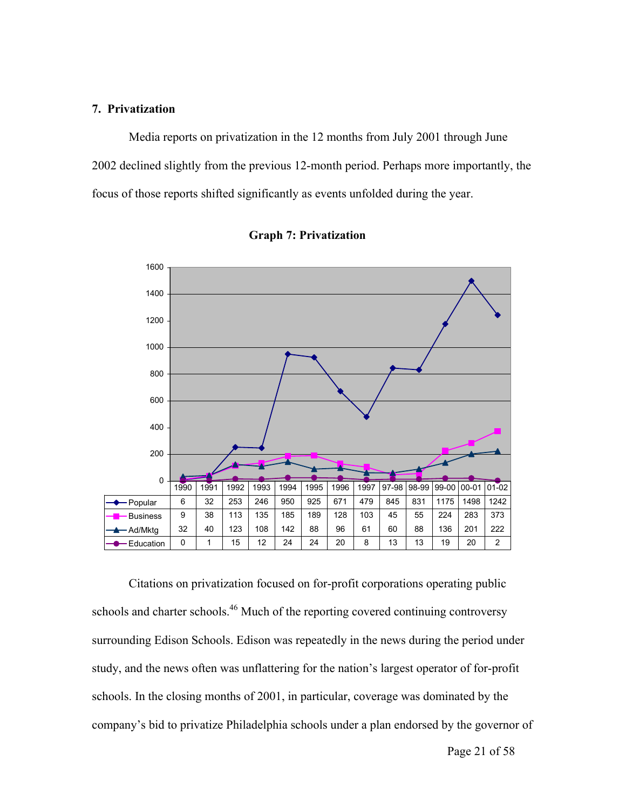## **7. Privatization**

Media reports on privatization in the 12 months from July 2001 through June 2002 declined slightly from the previous 12-month period. Perhaps more importantly, the focus of those reports shifted significantly as events unfolded during the year.





Citations on privatization focused on for-profit corporations operating public schools and charter schools.<sup>46</sup> Much of the reporting covered continuing controversy surrounding Edison Schools. Edison was repeatedly in the news during the period under study, and the news often was unflattering for the nation's largest operator of for-profit schools. In the closing months of 2001, in particular, coverage was dominated by the company's bid to privatize Philadelphia schools under a plan endorsed by the governor of

Page 21 of 58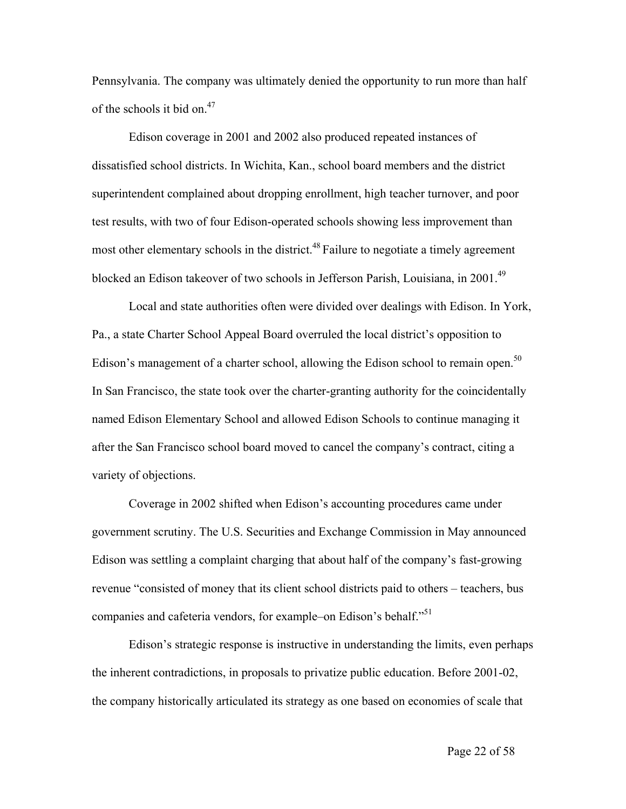Pennsylvania. The company was ultimately denied the opportunity to run more than half of the schools it bid on.<sup>47</sup>

Edison coverage in 2001 and 2002 also produced repeated instances of dissatisfied school districts. In Wichita, Kan., school board members and the district superintendent complained about dropping enrollment, high teacher turnover, and poor test results, with two of four Edison-operated schools showing less improvement than most other elementary schools in the district.<sup>48</sup> Failure to negotiate a timely agreement blocked an Edison takeover of two schools in Jefferson Parish, Louisiana, in 2001.[49](#page-39-48) 

Local and state authorities often were divided over dealings with Edison. In York, Pa., a state Charter School Appeal Board overruled the local district's opposition to Edison's management of a charter school, allowing the Edison school to remain open.<sup>[50](#page-39-49)</sup> In San Francisco, the state took over the charter-granting authority for the coincidentally named Edison Elementary School and allowed Edison Schools to continue managing it after the San Francisco school board moved to cancel the company's contract, citing a variety of objections.

Coverage in 2002 shifted when Edison's accounting procedures came under government scrutiny. The U.S. Securities and Exchange Commission in May announced Edison was settling a complaint charging that about half of the company's fast-growing revenue "consisted of money that its client school districts paid to others – teachers, bus companies and cafeteria vendors, for example–on Edison's behalf."<sup>[51](#page-39-50)</sup>

Edison's strategic response is instructive in understanding the limits, even perhaps the inherent contradictions, in proposals to privatize public education. Before 2001-02, the company historically articulated its strategy as one based on economies of scale that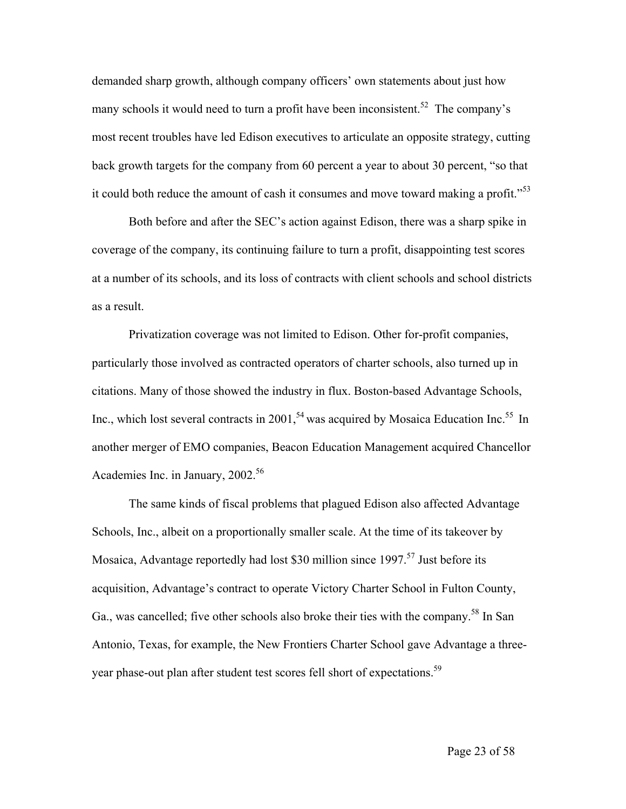demanded sharp growth, although company officers' own statements about just how many schools it would need to turn a profit have been inconsistent.<sup>52</sup> The company's most recent troubles have led Edison executives to articulate an opposite strategy, cutting back growth targets for the company from 60 percent a year to about 30 percent, "so that it could both reduce the amount of cash it consumes and move toward making a profit.<sup> $53$ </sup>

Both before and after the SEC's action against Edison, there was a sharp spike in coverage of the company, its continuing failure to turn a profit, disappointing test scores at a number of its schools, and its loss of contracts with client schools and school districts as a result.

Privatization coverage was not limited to Edison. Other for-profit companies, particularly those involved as contracted operators of charter schools, also turned up in citations. Many of those showed the industry in flux. Boston-based Advantage Schools, Inc., which lost several contracts in 2001,<sup>54</sup> was acquired by Mosaica Education Inc.<sup>55</sup> In another merger of EMO companies, Beacon Education Management acquired Chancellor Academies Inc. in January, 2002.<sup>56</sup>

The same kinds of fiscal problems that plagued Edison also affected Advantage Schools, Inc., albeit on a proportionally smaller scale. At the time of its takeover by Mosaica, Advantage reportedly had lost \$30 million since  $1997$ <sup>57</sup> Just before its acquisition, Advantage's contract to operate Victory Charter School in Fulton County, Ga., was cancelled; five other schools also broke their ties with the company.<sup>58</sup> In San Antonio, Texas, for example, the New Frontiers Charter School gave Advantage a three-year phase-out plan after student test scores fell short of expectations.<sup>[59](#page-39-56)</sup>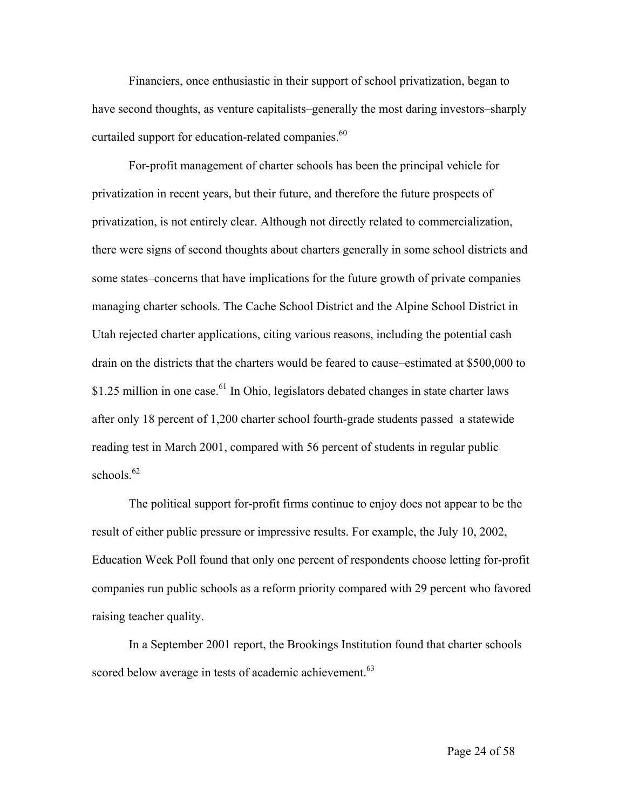Financiers, once enthusiastic in their support of school privatization, began to have second thoughts, as venture capitalists–generally the most daring investors–sharply curtailed support for education-related companies.<sup>[60](#page-39-57)</sup>

For-profit management of charter schools has been the principal vehicle for privatization in recent years, but their future, and therefore the future prospects of privatization, is not entirely clear. Although not directly related to commercialization, there were signs of second thoughts about charters generally in some school districts and some states–concerns that have implications for the future growth of private companies managing charter schools. The Cache School District and the Alpine School District in Utah rejected charter applications, citing various reasons, including the potential cash drain on the districts that the charters would be feared to cause–estimated at \$500,000 to \$1.25 million in one case.<sup>61</sup> In Ohio, legislators debated changes in state charter laws after only 18 percent of 1,200 charter school fourth-grade students passed a statewide reading test in March 2001, compared with 56 percent of students in regular public schools  $62$ 

The political support for-profit firms continue to enjoy does not appear to be the result of either public pressure or impressive results. For example, the July 10, 2002, Education Week Poll found that only one percent of respondents choose letting for-profit companies run public schools as a reform priority compared with 29 percent who favored raising teacher quality.

In a September 2001 report, the Brookings Institution found that charter schools scored below average in tests of academic achievement.<sup>63</sup>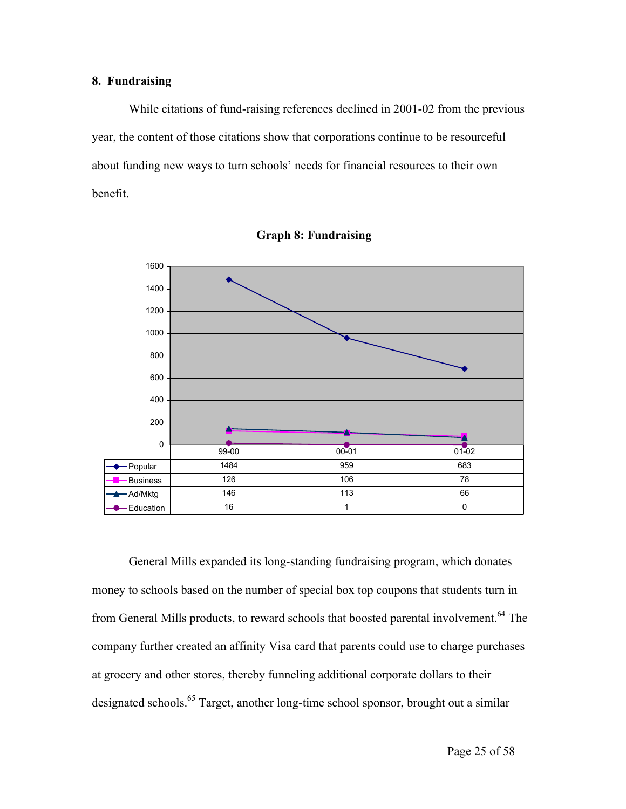## **8. Fundraising**

While citations of fund-raising references declined in 2001-02 from the previous year, the content of those citations show that corporations continue to be resourceful about funding new ways to turn schools' needs for financial resources to their own benefit.





General Mills expanded its long-standing fundraising program, which donates money to schools based on the number of special box top coupons that students turn in from General Mills products, to reward schools that boosted parental involvement.<sup>64</sup> The company further created an affinity Visa card that parents could use to charge purchases at grocery and other stores, thereby funneling additional corporate dollars to their designated schools[.65](#page-39-62) Target, another long-time school sponsor, brought out a similar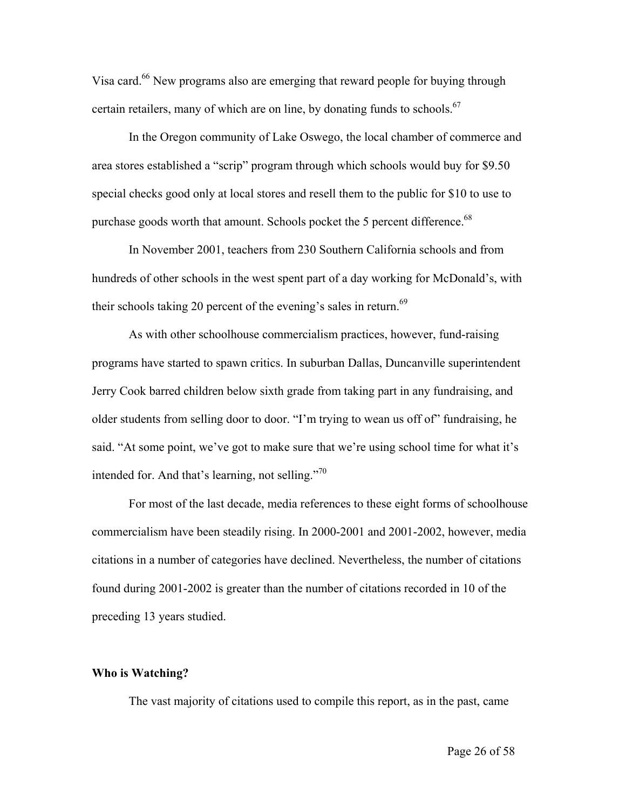Visa card.<sup>66</sup> New programs also are emerging that reward people for buying through certain retailers, many of which are on line, by donating funds to schools.<sup>67</sup>

In the Oregon community of Lake Oswego, the local chamber of commerce and area stores established a "scrip" program through which schools would buy for \$9.50 special checks good only at local stores and resell them to the public for \$10 to use to purchase goods worth that amount. Schools pocket the 5 percent difference.<sup>68</sup>

In November 2001, teachers from 230 Southern California schools and from hundreds of other schools in the west spent part of a day working for McDonald's, with their schools taking 20 percent of the evening's sales in return.<sup>69</sup>

As with other schoolhouse commercialism practices, however, fund-raising programs have started to spawn critics. In suburban Dallas, Duncanville superintendent Jerry Cook barred children below sixth grade from taking part in any fundraising, and older students from selling door to door. "I'm trying to wean us off of" fundraising, he said. "At some point, we've got to make sure that we're using school time for what it's intended for. And that's learning, not selling. $170$  $170$ 

For most of the last decade, media references to these eight forms of schoolhouse commercialism have been steadily rising. In 2000-2001 and 2001-2002, however, media citations in a number of categories have declined. Nevertheless, the number of citations found during 2001-2002 is greater than the number of citations recorded in 10 of the preceding 13 years studied.

#### **Who is Watching?**

The vast majority of citations used to compile this report, as in the past, came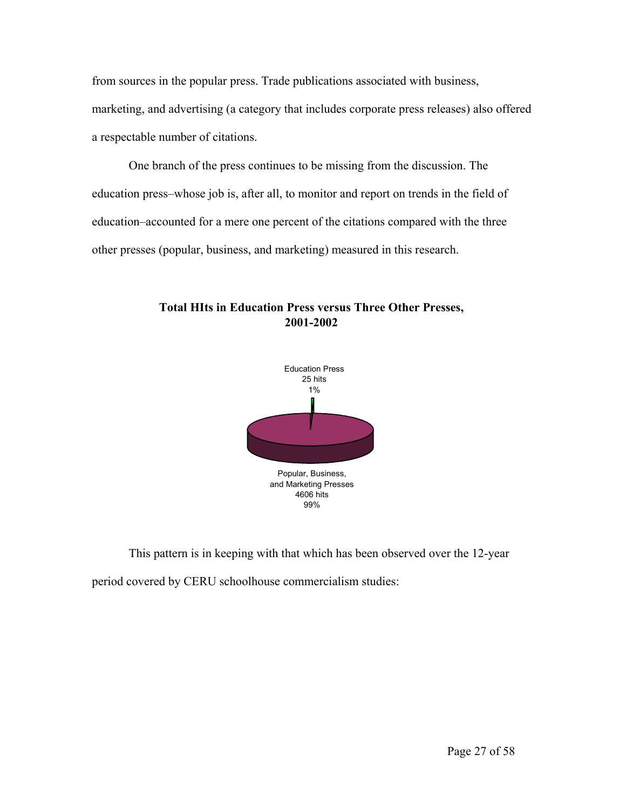from sources in the popular press. Trade publications associated with business, marketing, and advertising (a category that includes corporate press releases) also offered a respectable number of citations.

 One branch of the press continues to be missing from the discussion. The education press–whose job is, after all, to monitor and report on trends in the field of education–accounted for a mere one percent of the citations compared with the three other presses (popular, business, and marketing) measured in this research.





This pattern is in keeping with that which has been observed over the 12-year period covered by CERU schoolhouse commercialism studies: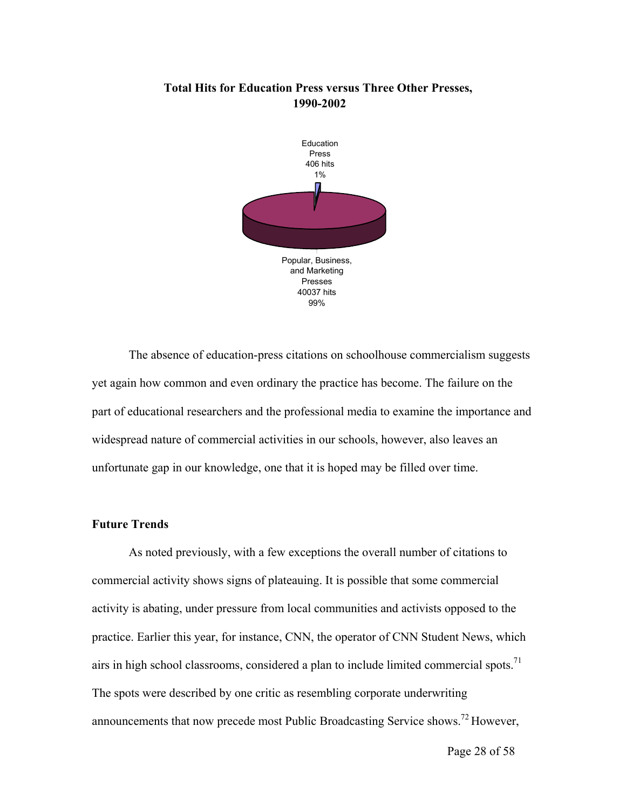## **Total Hits for Education Press versus Three Other Presses, 1990-2002**



The absence of education-press citations on schoolhouse commercialism suggests yet again how common and even ordinary the practice has become. The failure on the part of educational researchers and the professional media to examine the importance and widespread nature of commercial activities in our schools, however, also leaves an unfortunate gap in our knowledge, one that it is hoped may be filled over time.

## **Future Trends**

As noted previously, with a few exceptions the overall number of citations to commercial activity shows signs of plateauing. It is possible that some commercial activity is abating, under pressure from local communities and activists opposed to the practice. Earlier this year, for instance, CNN, the operator of CNN Student News, which airs in high school classrooms, considered a plan to include limited commercial spots.<sup>[71](#page-39-67)</sup> The spots were described by one critic as resembling corporate underwriting announcements that now precede most Public Broadcasting Service shows.[72 H](#page-39-68)owever,

Page 28 of 58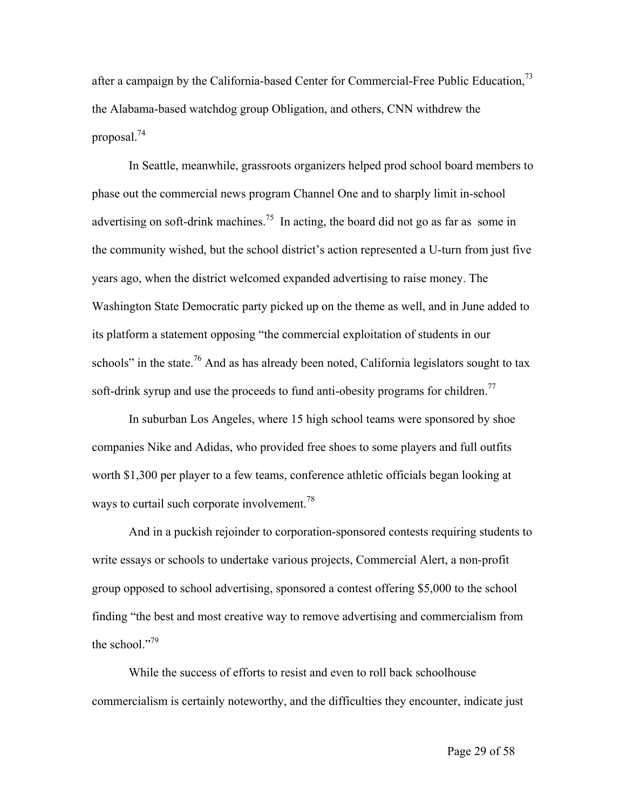after a campaign by the California-based Center for Commercial-Free Public Education,<sup>73</sup> the Alabama-based watchdog group Obligation, and others, CNN withdrew the proposal[.74](#page-39-70) 

In Seattle, meanwhile, grassroots organizers helped prod school board members to phase out the commercial news program Channel One and to sharply limit in-school advertising on soft-drink machines.<sup>75</sup> In acting, the board did not go as far as some in the community wished, but the school district's action represented a U-turn from just five years ago, when the district welcomed expanded advertising to raise money. The Washington State Democratic party picked up on the theme as well, and in June added to its platform a statement opposing "the commercial exploitation of students in our schools" in the state.<sup>76</sup> And as has already been noted, California legislators sought to tax soft-drink syrup and use the proceeds to fund anti-obesity programs for children.<sup>[77](#page-39-72)</sup>

In suburban Los Angeles, where 15 high school teams were sponsored by shoe companies Nike and Adidas, who provided free shoes to some players and full outfits worth \$1,300 per player to a few teams, conference athletic officials began looking at ways to curtail such corporate involvement.<sup>[78](#page-39-73)</sup>

And in a puckish rejoinder to corporation-sponsored contests requiring students to write essays or schools to undertake various projects, Commercial Alert, a non-profit group opposed to school advertising, sponsored a contest offering \$5,000 to the school finding "the best and most creative way to remove advertising and commercialism from the school." $79$ 

While the success of efforts to resist and even to roll back schoolhouse commercialism is certainly noteworthy, and the difficulties they encounter, indicate just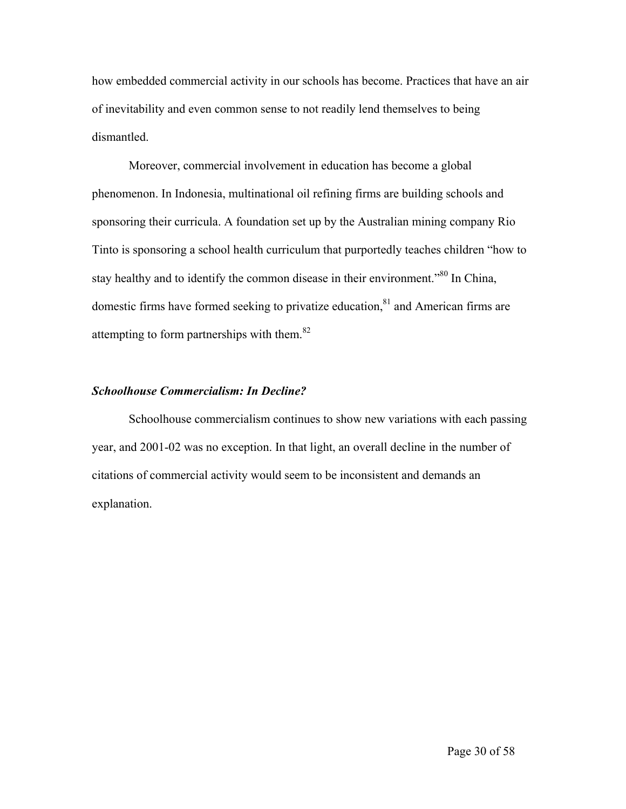how embedded commercial activity in our schools has become. Practices that have an air of inevitability and even common sense to not readily lend themselves to being dismantled.

Moreover, commercial involvement in education has become a global phenomenon. In Indonesia, multinational oil refining firms are building schools and sponsoring their curricula. A foundation set up by the Australian mining company Rio Tinto is sponsoring a school health curriculum that purportedly teaches children "how to stay healthy and to identify the common disease in their environment."<sup>80</sup> In China, domestic firms have formed seeking to privatize education, $81$  and American firms are attempting to form partnerships with them.<sup>[82](#page-39-77)</sup>

## *Schoolhouse Commercialism: In Decline?*

Schoolhouse commercialism continues to show new variations with each passing year, and 2001-02 was no exception. In that light, an overall decline in the number of citations of commercial activity would seem to be inconsistent and demands an explanation.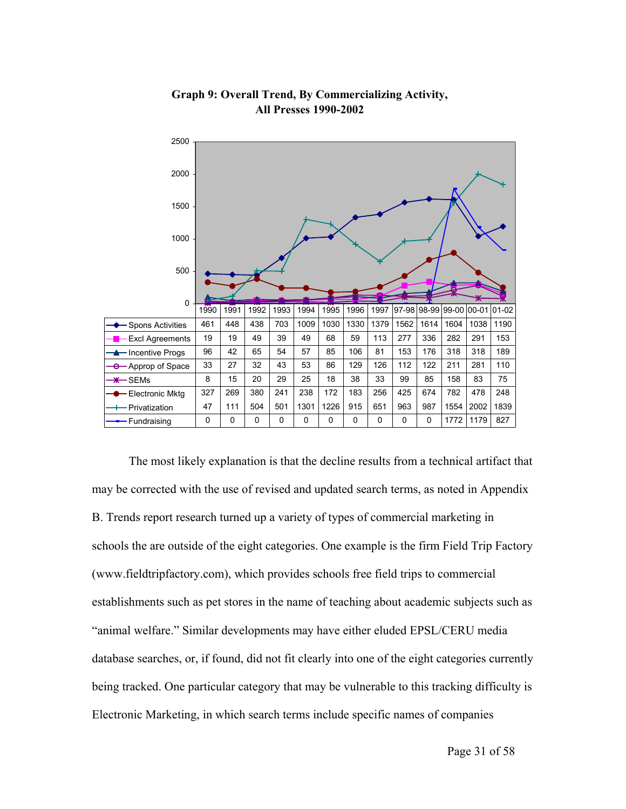

## **Graph 9: Overall Trend, By Commercializing Activity, All Presses 1990-2002**

The most likely explanation is that the decline results from a technical artifact that may be corrected with the use of revised and updated search terms, as noted in Appendix B. Trends report research turned up a variety of types of commercial marketing in schools the are outside of the eight categories. One example is the firm Field Trip Factory (www.fieldtripfactory.com), which provides schools free field trips to commercial establishments such as pet stores in the name of teaching about academic subjects such as "animal welfare." Similar developments may have either eluded EPSL/CERU media database searches, or, if found, did not fit clearly into one of the eight categories currently being tracked. One particular category that may be vulnerable to this tracking difficulty is Electronic Marketing, in which search terms include specific names of companies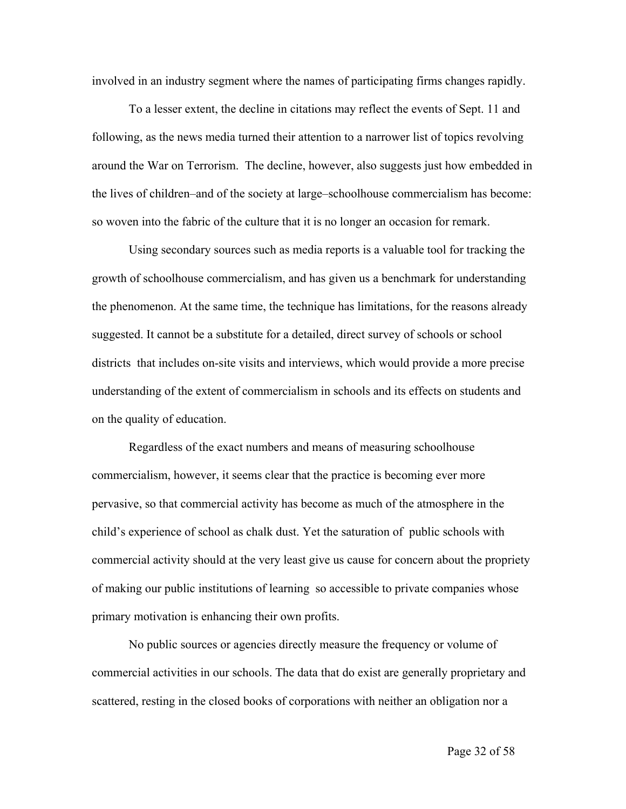involved in an industry segment where the names of participating firms changes rapidly.

To a lesser extent, the decline in citations may reflect the events of Sept. 11 and following, as the news media turned their attention to a narrower list of topics revolving around the War on Terrorism. The decline, however, also suggests just how embedded in the lives of children–and of the society at large–schoolhouse commercialism has become: so woven into the fabric of the culture that it is no longer an occasion for remark.

Using secondary sources such as media reports is a valuable tool for tracking the growth of schoolhouse commercialism, and has given us a benchmark for understanding the phenomenon. At the same time, the technique has limitations, for the reasons already suggested. It cannot be a substitute for a detailed, direct survey of schools or school districts that includes on-site visits and interviews, which would provide a more precise understanding of the extent of commercialism in schools and its effects on students and on the quality of education.

Regardless of the exact numbers and means of measuring schoolhouse commercialism, however, it seems clear that the practice is becoming ever more pervasive, so that commercial activity has become as much of the atmosphere in the child's experience of school as chalk dust. Yet the saturation of public schools with commercial activity should at the very least give us cause for concern about the propriety of making our public institutions of learning so accessible to private companies whose primary motivation is enhancing their own profits.

No public sources or agencies directly measure the frequency or volume of commercial activities in our schools. The data that do exist are generally proprietary and scattered, resting in the closed books of corporations with neither an obligation nor a

Page 32 of 58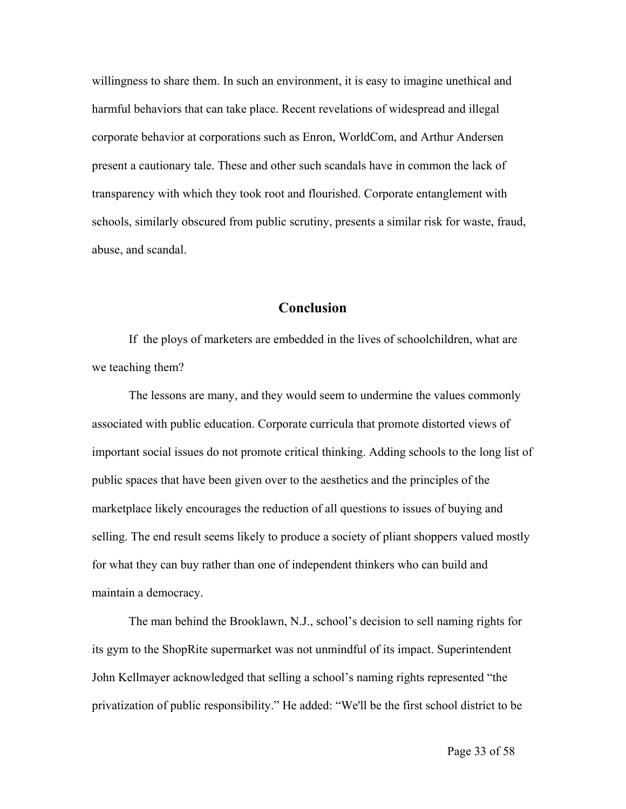willingness to share them. In such an environment, it is easy to imagine unethical and harmful behaviors that can take place. Recent revelations of widespread and illegal corporate behavior at corporations such as Enron, WorldCom, and Arthur Andersen present a cautionary tale. These and other such scandals have in common the lack of transparency with which they took root and flourished. Corporate entanglement with schools, similarly obscured from public scrutiny, presents a similar risk for waste, fraud, abuse, and scandal.

## **Conclusion**

If the ploys of marketers are embedded in the lives of schoolchildren, what are we teaching them?

The lessons are many, and they would seem to undermine the values commonly associated with public education. Corporate curricula that promote distorted views of important social issues do not promote critical thinking. Adding schools to the long list of public spaces that have been given over to the aesthetics and the principles of the marketplace likely encourages the reduction of all questions to issues of buying and selling. The end result seems likely to produce a society of pliant shoppers valued mostly for what they can buy rather than one of independent thinkers who can build and maintain a democracy.

The man behind the Brooklawn, N.J., school's decision to sell naming rights for its gym to the ShopRite supermarket was not unmindful of its impact. Superintendent John Kellmayer acknowledged that selling a school's naming rights represented "the privatization of public responsibility." He added: "We'll be the first school district to be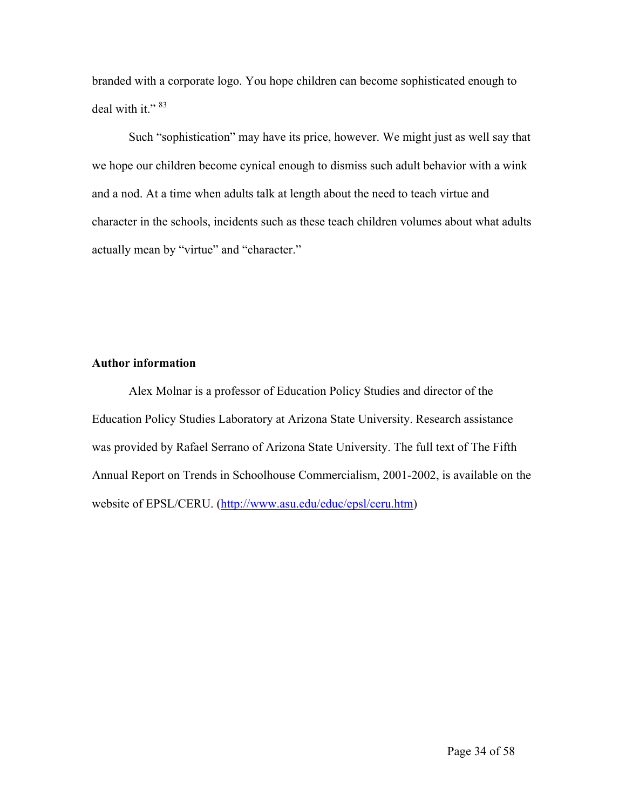branded with a corporate logo. You hope children can become sophisticated enough to deal with it."<sup>83</sup>

Such "sophistication" may have its price, however. We might just as well say that we hope our children become cynical enough to dismiss such adult behavior with a wink and a nod. At a time when adults talk at length about the need to teach virtue and character in the schools, incidents such as these teach children volumes about what adults actually mean by "virtue" and "character."

## **Author information**

Alex Molnar is a professor of Education Policy Studies and director of the Education Policy Studies Laboratory at Arizona State University. Research assistance was provided by Rafael Serrano of Arizona State University. The full text of The Fifth Annual Report on Trends in Schoolhouse Commercialism, 2001-2002, is available on the website of EPSL/CERU. [\(http://www.asu.edu/educ/epsl/ceru.htm](http://www.asu.edu/educ/epsl/ceru.htm))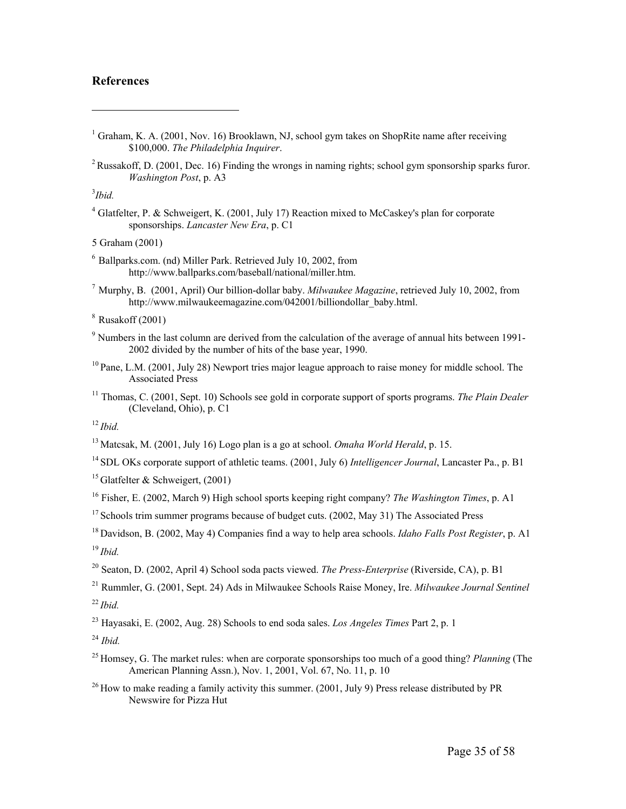### **References**

- <sup>1</sup> Graham, K. A. (2001, Nov. 16) Brooklawn, NJ, school gym takes on ShopRite name after receiving \$100,000. *The Philadelphia Inquirer*.
- <sup>2</sup> Russakoff, D. (2001, Dec. 16) Finding the wrongs in naming rights; school gym sponsorship sparks furor. *Washington Post*, p. A3

#### 3 *Ibid.*

 $\overline{a}$ 

<sup>4</sup> Glatfelter, P. & Schweigert, K. (2001, July 17) Reaction mixed to McCaskey's plan for corporate sponsorships. *Lancaster New Era*, p. C1

5 Graham (2001)

7 Murphy, B. (2001, April) Our billion-dollar baby. *Milwaukee Magazine*, retrieved July 10, 2002, from http://www.milwaukeemagazine.com/042001/billiondollar\_baby.html.

- <sup>9</sup> Numbers in the last column are derived from the calculation of the average of annual hits between 1991-2002 divided by the number of hits of the base year, 1990.
- <sup>10</sup> Pane, L.M. (2001, July 28) Newport tries major league approach to raise money for middle school. The Associated Press
- 11 Thomas, C. (2001, Sept. 10) Schools see gold in corporate support of sports programs. *The Plain Dealer* (Cleveland, Ohio), p. C1

<sup>12</sup>*Ibid.*

14 SDL OKs corporate support of athletic teams. (2001, July 6) *Intelligencer Journal*, Lancaster Pa., p. B1

<sup>15</sup> Glatfelter & Schweigert,  $(2001)$ 

- <sup>16</sup> Fisher, E. (2002, March 9) High school sports keeping right company? *The Washington Times*, p. A1
- $17$  Schools trim summer programs because of budget cuts. (2002, May 31) The Associated Press
- 18 Davidson, B. (2002, May 4) Companies find a way to help area schools. *Idaho Falls Post Register*, p. A1 <sup>19</sup>*Ibid.*
- 20 Seaton, D. (2002, April 4) School soda pacts viewed. *The Press-Enterprise* (Riverside, CA), p. B1
- 21 Rummler, G. (2001, Sept. 24) Ads in Milwaukee Schools Raise Money, Ire. *Milwaukee Journal Sentinel* <sup>22</sup>*Ibid.*

23 Hayasaki, E. (2002, Aug. 28) Schools to end soda sales. *Los Angeles Times* Part 2, p. 1

<sup>24</sup> *Ibid.*

- 25 Homsey, G. The market rules: when are corporate sponsorships too much of a good thing? *Planning* (The American Planning Assn.), Nov. 1, 2001, Vol. 67, No. 11, p. 10
- <sup>26</sup> How to make reading a family activity this summer. (2001, July 9) Press release distributed by PR Newswire for Pizza Hut

<sup>6</sup> Ballparks.com. (nd) Miller Park. Retrieved July 10, 2002, from http://www.ballparks.com/baseball/national/miller.htm.

 $8$  Rusakoff (2001)

<sup>13</sup> Matcsak, M. (2001, July 16) Logo plan is a go at school. *Omaha World Herald*, p. 15.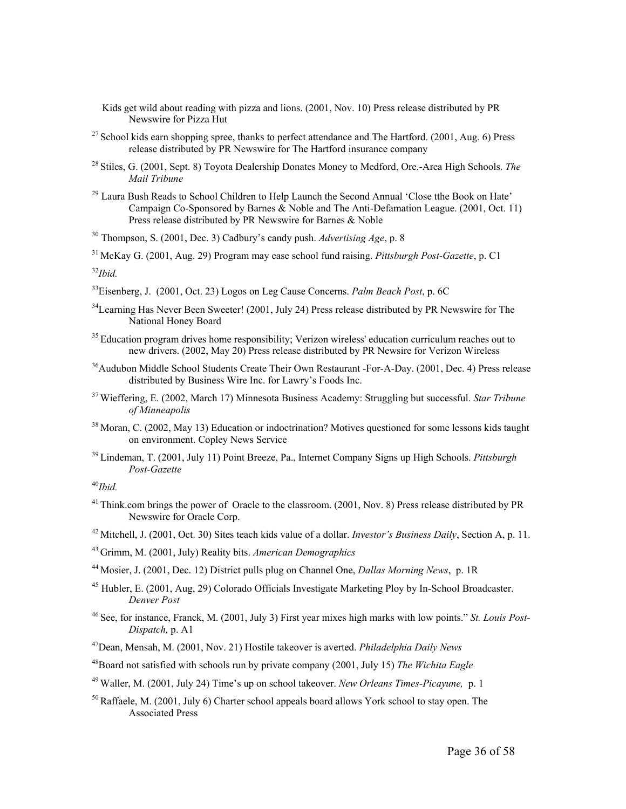- Kids get wild about reading with pizza and lions. (2001, Nov. 10) Press release distributed by PR Newswire for Pizza Hut
- <sup>27</sup> School kids earn shopping spree, thanks to perfect attendance and The Hartford. (2001, Aug. 6) Press release distributed by PR Newswire for The Hartford insurance company
- 28 Stiles, G. (2001, Sept. 8) Toyota Dealership Donates Money to Medford, Ore.-Area High Schools. *The Mail Tribune*
- <sup>29</sup> Laura Bush Reads to School Children to Help Launch the Second Annual 'Close tthe Book on Hate' Campaign Co-Sponsored by Barnes & Noble and The Anti-Defamation League. (2001, Oct. 11) Press release distributed by PR Newswire for Barnes & Noble

30 Thompson, S. (2001, Dec. 3) Cadbury's candy push. *Advertising Age*, p. 8

31 McKay G. (2001, Aug. 29) Program may ease school fund raising. *Pittsburgh Post-Gazette*, p. C1

<sup>32</sup>*Ibid.*

- 33Eisenberg, J. (2001, Oct. 23) Logos on Leg Cause Concerns. *Palm Beach Post*, p. 6C
- $34$ Learning Has Never Been Sweeter! (2001, July 24) Press release distributed by PR Newswire for The National Honey Board
- <sup>35</sup> Education program drives home responsibility; Verizon wireless' education curriculum reaches out to new drivers. (2002, May 20) Press release distributed by PR Newsire for Verizon Wireless
- 36Audubon Middle School Students Create Their Own Restaurant -For-A-Day. (2001, Dec. 4) Press release distributed by Business Wire Inc. for Lawry's Foods Inc.
- 37 Wieffering, E. (2002, March 17) Minnesota Business Academy: Struggling but successful. *Star Tribune of Minneapolis*
- <sup>38</sup> Moran, C. (2002, May 13) Education or indoctrination? Motives questioned for some lessons kids taught on environment. Copley News Service
- 39 Lindeman, T. (2001, July 11) Point Breeze, Pa., Internet Company Signs up High Schools. *Pittsburgh Post-Gazette*

<sup>40</sup>*Ibid.*

- <sup>41</sup> Think.com brings the power of Oracle to the classroom. (2001, Nov. 8) Press release distributed by PR Newswire for Oracle Corp.
- 42 Mitchell, J. (2001, Oct. 30) Sites teach kids value of a dollar. *Investor's Business Daily*, Section A, p. 11.
- 43 Grimm, M. (2001, July) Reality bits. *American Demographics*
- 44 Mosier, J. (2001, Dec. 12) District pulls plug on Channel One, *Dallas Morning News*, p. 1R
- <sup>45</sup> Hubler, E. (2001, Aug, 29) Colorado Officials Investigate Marketing Ploy by In-School Broadcaster. *Denver Post*
- 46 See, for instance, Franck, M. (2001, July 3) First year mixes high marks with low points." *St. Louis Post-Dispatch,* p. A1
- 47Dean, Mensah, M. (2001, Nov. 21) Hostile takeover is averted. *Philadelphia Daily News*
- 48Board not satisfied with schools run by private company (2001, July 15) *The Wichita Eagle*
- 49 Waller, M. (2001, July 24) Time's up on school takeover. *New Orleans Times-Picayune,* p. 1
- <sup>50</sup> Raffaele, M. (2001, July 6) Charter school appeals board allows York school to stay open. The Associated Press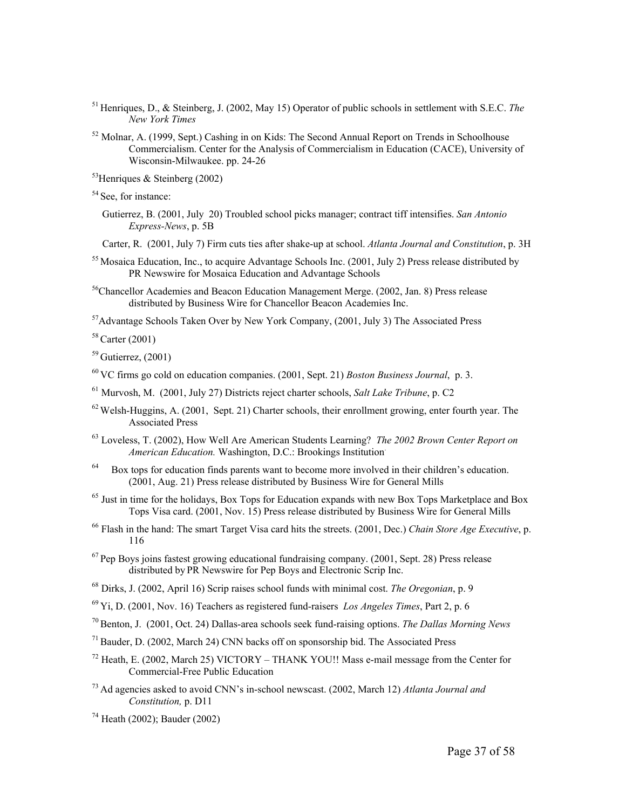- 51 Henriques, D., & Steinberg, J. (2002, May 15) Operator of public schools in settlement with S.E.C. *The New York Times*
- $52$  Molnar, A. (1999, Sept.) Cashing in on Kids: The Second Annual Report on Trends in Schoolhouse Commercialism. Center for the Analysis of Commercialism in Education (CACE), University of Wisconsin-Milwaukee. pp. 24-26

 $53$ Henriques & Steinberg (2002)

<sup>54</sup> See, for instance:

 Gutierrez, B. (2001, July 20) Troubled school picks manager; contract tiff intensifies. *San Antonio Express-News*, p. 5B

Carter, R. (2001, July 7) Firm cuts ties after shake-up at school. *Atlanta Journal and Constitution*, p. 3H

- <sup>55</sup> Mosaica Education, Inc., to acquire Advantage Schools Inc. (2001, July 2) Press release distributed by PR Newswire for Mosaica Education and Advantage Schools
- <sup>56</sup>Chancellor Academies and Beacon Education Management Merge. (2002, Jan. 8) Press release distributed by Business Wire for Chancellor Beacon Academies Inc.

57Advantage Schools Taken Over by New York Company, (2001, July 3) The Associated Press

58 Carter (2001)

 $59$  Gutierrez,  $(2001)$ 

- 60 VC firms go cold on education companies. (2001, Sept. 21) *Boston Business Journal*, p. 3.
- 61 Murvosh, M. (2001, July 27) Districts reject charter schools, *Salt Lake Tribune*, p. C2
- $62$  Welsh-Huggins, A. (2001, Sept. 21) Charter schools, their enrollment growing, enter fourth year. The Associated Press
- 63 Loveless, T. (2002), How Well Are American Students Learning? *The 2002 Brown Center Report on American Education.* Washington, D.C.: Brookings Institution.
- <sup>64</sup> Box tops for education finds parents want to become more involved in their children's education. (2001, Aug. 21) Press release distributed by Business Wire for General Mills
- <sup>65</sup> Just in time for the holidays, Box Tops for Education expands with new Box Tops Marketplace and Box Tops Visa card. (2001, Nov. 15) Press release distributed by Business Wire for General Mills
- 66 Flash in the hand: The smart Target Visa card hits the streets. (2001, Dec.) *Chain Store Age Executive*, p. 116
- $67$  Pep Boys joins fastest growing educational fundraising company. (2001, Sept. 28) Press release distributed by PR Newswire for Pep Boys and Electronic Scrip Inc.
- 68 Dirks, J. (2002, April 16) Scrip raises school funds with minimal cost. *The Oregonian*, p. 9
- 69 Yi, D. (2001, Nov. 16) Teachers as registered fund-raisers *Los Angeles Times*, Part 2, p. 6
- 70 Benton, J. (2001, Oct. 24) Dallas-area schools seek fund-raising options. *The Dallas Morning News*
- $71$  Bauder, D. (2002, March 24) CNN backs off on sponsorship bid. The Associated Press
- $^{72}$  Heath, E. (2002, March 25) VICTORY THANK YOU!! Mass e-mail message from the Center for Commercial-Free Public Education
- 73 Ad agencies asked to avoid CNN's in-school newscast. (2002, March 12) *Atlanta Journal and Constitution,* p. D11
- 74 Heath (2002); Bauder (2002)